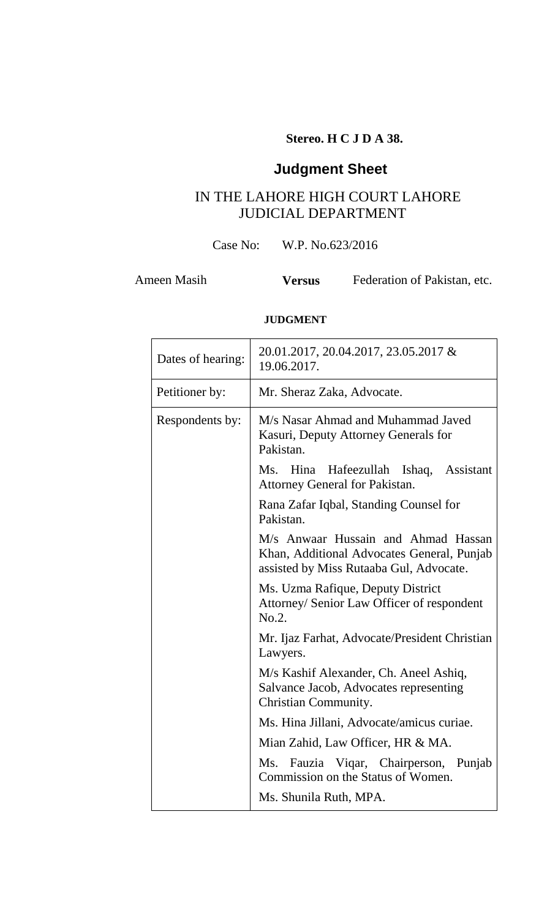## **Stereo. H C J D A 38.**

# **Judgment Sheet**

# IN THE LAHORE HIGH COURT LAHORE JUDICIAL DEPARTMENT

Case No: W.P. No.623/2016

Ameen Masih **Versus** Federation of Pakistan, etc.

## **JUDGMENT**

| Dates of hearing: | 20.01.2017, 20.04.2017, 23.05.2017 &<br>19.06.2017.                                                                          |  |  |  |  |  |
|-------------------|------------------------------------------------------------------------------------------------------------------------------|--|--|--|--|--|
| Petitioner by:    | Mr. Sheraz Zaka, Advocate.                                                                                                   |  |  |  |  |  |
| Respondents by:   | M/s Nasar Ahmad and Muhammad Javed<br>Kasuri, Deputy Attorney Generals for<br>Pakistan.                                      |  |  |  |  |  |
|                   | Ms. Hina Hafeezullah Ishaq, Assistant<br><b>Attorney General for Pakistan.</b>                                               |  |  |  |  |  |
|                   | Rana Zafar Iqbal, Standing Counsel for<br>Pakistan.                                                                          |  |  |  |  |  |
|                   | M/s Anwaar Hussain and Ahmad Hassan<br>Khan, Additional Advocates General, Punjab<br>assisted by Miss Rutaaba Gul, Advocate. |  |  |  |  |  |
|                   | Ms. Uzma Rafique, Deputy District<br>Attorney/ Senior Law Officer of respondent<br>No.2.                                     |  |  |  |  |  |
|                   | Mr. Ijaz Farhat, Advocate/President Christian<br>Lawyers.                                                                    |  |  |  |  |  |
|                   | M/s Kashif Alexander, Ch. Aneel Ashiq,<br>Salvance Jacob, Advocates representing<br>Christian Community.                     |  |  |  |  |  |
|                   | Ms. Hina Jillani, Advocate/amicus curiae.                                                                                    |  |  |  |  |  |
|                   | Mian Zahid, Law Officer, HR & MA.                                                                                            |  |  |  |  |  |
|                   | Ms. Fauzia Viqar, Chairperson, Punjab<br>Commission on the Status of Women.                                                  |  |  |  |  |  |
|                   | Ms. Shunila Ruth, MPA.                                                                                                       |  |  |  |  |  |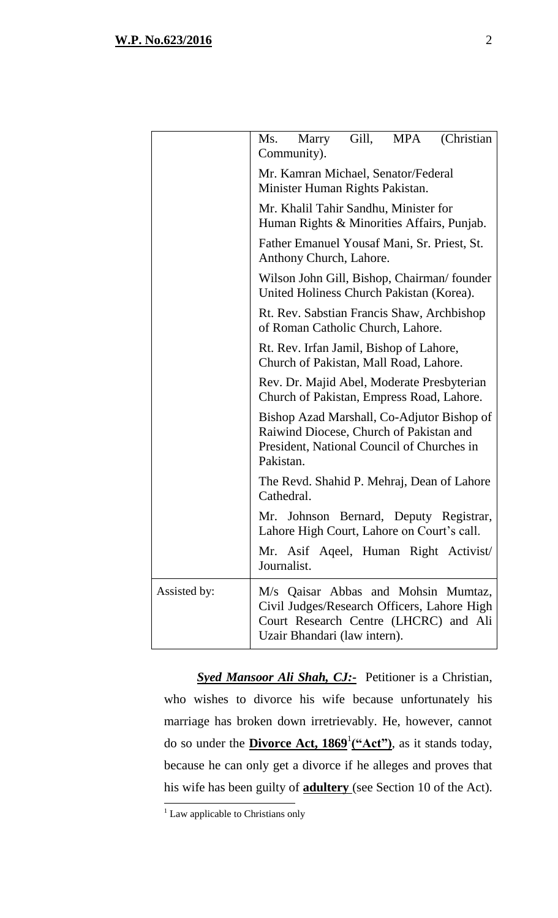|              | Gill,<br>(Christian)<br>MPA<br>Ms.<br>Marry<br>Community).                                                                                                    |  |  |  |  |  |  |
|--------------|---------------------------------------------------------------------------------------------------------------------------------------------------------------|--|--|--|--|--|--|
|              | Mr. Kamran Michael, Senator/Federal<br>Minister Human Rights Pakistan.                                                                                        |  |  |  |  |  |  |
|              | Mr. Khalil Tahir Sandhu, Minister for<br>Human Rights & Minorities Affairs, Punjab.<br>Father Emanuel Yousaf Mani, Sr. Priest, St.<br>Anthony Church, Lahore. |  |  |  |  |  |  |
|              |                                                                                                                                                               |  |  |  |  |  |  |
|              | Wilson John Gill, Bishop, Chairman/founder<br>United Holiness Church Pakistan (Korea).                                                                        |  |  |  |  |  |  |
|              | Rt. Rev. Sabstian Francis Shaw, Archbishop<br>of Roman Catholic Church, Lahore.                                                                               |  |  |  |  |  |  |
|              | Rt. Rev. Irfan Jamil, Bishop of Lahore,<br>Church of Pakistan, Mall Road, Lahore.                                                                             |  |  |  |  |  |  |
|              | Rev. Dr. Majid Abel, Moderate Presbyterian<br>Church of Pakistan, Empress Road, Lahore.                                                                       |  |  |  |  |  |  |
|              | Bishop Azad Marshall, Co-Adjutor Bishop of<br>Raiwind Diocese, Church of Pakistan and<br>President, National Council of Churches in<br>Pakistan.              |  |  |  |  |  |  |
|              | The Revd. Shahid P. Mehraj, Dean of Lahore<br>Cathedral.                                                                                                      |  |  |  |  |  |  |
|              | Mr. Johnson Bernard, Deputy Registrar,<br>Lahore High Court, Lahore on Court's call.                                                                          |  |  |  |  |  |  |
|              | Mr. Asif Aqeel, Human Right Activist<br>Journalist.                                                                                                           |  |  |  |  |  |  |
| Assisted by: | M/s Qaisar Abbas and Mohsin Mumtaz,<br>Civil Judges/Research Officers, Lahore High<br>Court Research Centre (LHCRC) and Ali<br>Uzair Bhandari (law intern).   |  |  |  |  |  |  |

*Syed Mansoor Ali Shah, CJ:-* Petitioner is a Christian, who wishes to divorce his wife because unfortunately his marriage has broken down irretrievably. He, however, cannot do so under the **Divorce Act, 1869**<sup>1</sup> **("Act")**, as it stands today, because he can only get a divorce if he alleges and proves that his wife has been guilty of **adultery** (see Section 10 of the Act).

 $<sup>1</sup>$  Law applicable to Christians only</sup>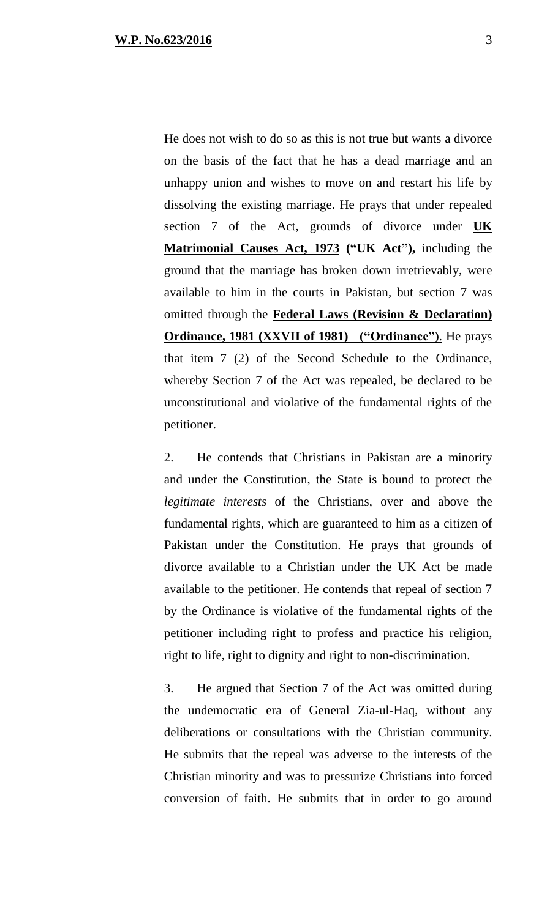He does not wish to do so as this is not true but wants a divorce on the basis of the fact that he has a dead marriage and an unhappy union and wishes to move on and restart his life by dissolving the existing marriage. He prays that under repealed section 7 of the Act, grounds of divorce under **UK Matrimonial Causes Act, 1973 ("UK Act"),** including the ground that the marriage has broken down irretrievably, were available to him in the courts in Pakistan, but section 7 was omitted through the **Federal Laws (Revision & Declaration) Ordinance, 1981 (XXVII of 1981) ("Ordinance")**. He prays that item 7 (2) of the Second Schedule to the Ordinance, whereby Section 7 of the Act was repealed, be declared to be unconstitutional and violative of the fundamental rights of the petitioner.

2. He contends that Christians in Pakistan are a minority and under the Constitution, the State is bound to protect the *legitimate interests* of the Christians, over and above the fundamental rights, which are guaranteed to him as a citizen of Pakistan under the Constitution. He prays that grounds of divorce available to a Christian under the UK Act be made available to the petitioner. He contends that repeal of section 7 by the Ordinance is violative of the fundamental rights of the petitioner including right to profess and practice his religion, right to life, right to dignity and right to non-discrimination.

3. He argued that Section 7 of the Act was omitted during the undemocratic era of General Zia-ul-Haq, without any deliberations or consultations with the Christian community. He submits that the repeal was adverse to the interests of the Christian minority and was to pressurize Christians into forced conversion of faith. He submits that in order to go around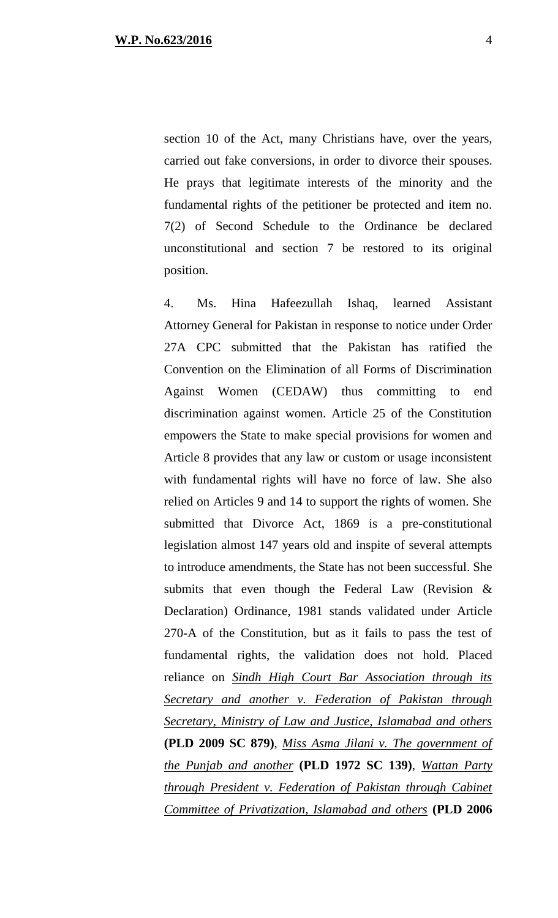section 10 of the Act, many Christians have, over the years, carried out fake conversions, in order to divorce their spouses. He prays that legitimate interests of the minority and the fundamental rights of the petitioner be protected and item no. 7(2) of Second Schedule to the Ordinance be declared unconstitutional and section 7 be restored to its original position.

4. Ms. Hina Hafeezullah Ishaq, learned Assistant Attorney General for Pakistan in response to notice under Order 27A CPC submitted that the Pakistan has ratified the Convention on the Elimination of all Forms of Discrimination Against Women (CEDAW) thus committing to end discrimination against women. Article 25 of the Constitution empowers the State to make special provisions for women and Article 8 provides that any law or custom or usage inconsistent with fundamental rights will have no force of law. She also relied on Articles 9 and 14 to support the rights of women. She submitted that Divorce Act, 1869 is a pre-constitutional legislation almost 147 years old and inspite of several attempts to introduce amendments, the State has not been successful. She submits that even though the Federal Law (Revision & Declaration) Ordinance, 1981 stands validated under Article 270-A of the Constitution, but as it fails to pass the test of fundamental rights, the validation does not hold. Placed reliance on *Sindh High Court Bar Association through its Secretary and another v. Federation of Pakistan through Secretary, Ministry of Law and Justice, Islamabad and others*  **(PLD 2009 SC 879)**, *Miss Asma Jilani v. The government of the Punjab and another* **(PLD 1972 SC 139)**, *Wattan Party through President v. Federation of Pakistan through Cabinet Committee of Privatization, Islamabad and others* **(PLD 2006**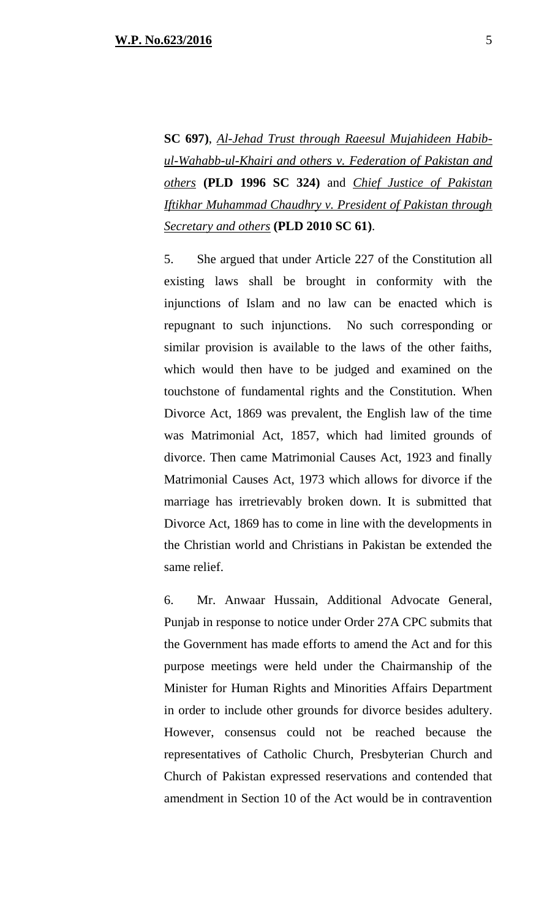**SC 697)**, *Al-Jehad Trust through Raeesul Mujahideen Habibul-Wahabb-ul-Khairi and others v. Federation of Pakistan and others* **(PLD 1996 SC 324)** and *Chief Justice of Pakistan Iftikhar Muhammad Chaudhry v. President of Pakistan through Secretary and others* **(PLD 2010 SC 61)**.

5. She argued that under Article 227 of the Constitution all existing laws shall be brought in conformity with the injunctions of Islam and no law can be enacted which is repugnant to such injunctions. No such corresponding or similar provision is available to the laws of the other faiths, which would then have to be judged and examined on the touchstone of fundamental rights and the Constitution. When Divorce Act, 1869 was prevalent, the English law of the time was Matrimonial Act, 1857, which had limited grounds of divorce. Then came Matrimonial Causes Act, 1923 and finally Matrimonial Causes Act, 1973 which allows for divorce if the marriage has irretrievably broken down. It is submitted that Divorce Act, 1869 has to come in line with the developments in the Christian world and Christians in Pakistan be extended the same relief.

6. Mr. Anwaar Hussain, Additional Advocate General, Punjab in response to notice under Order 27A CPC submits that the Government has made efforts to amend the Act and for this purpose meetings were held under the Chairmanship of the Minister for Human Rights and Minorities Affairs Department in order to include other grounds for divorce besides adultery. However, consensus could not be reached because the representatives of Catholic Church, Presbyterian Church and Church of Pakistan expressed reservations and contended that amendment in Section 10 of the Act would be in contravention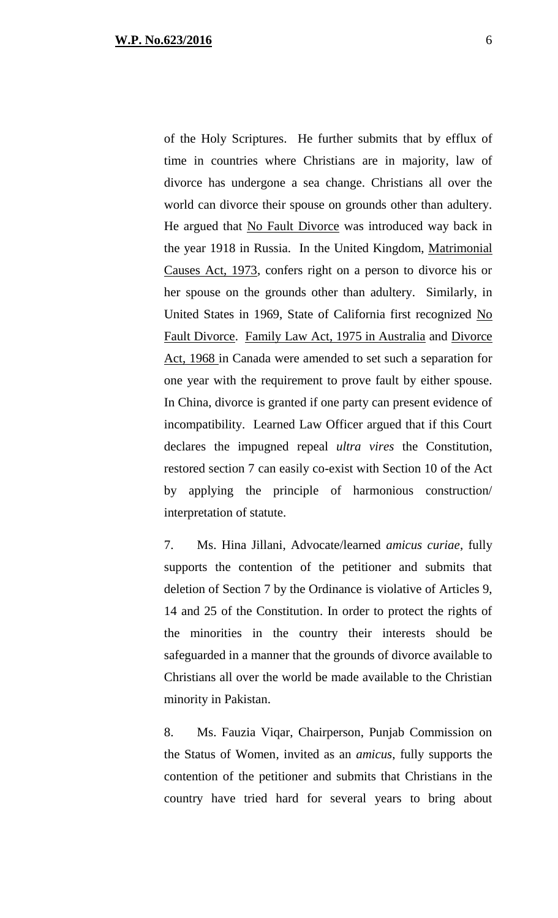of the Holy Scriptures. He further submits that by efflux of time in countries where Christians are in majority, law of divorce has undergone a sea change. Christians all over the world can divorce their spouse on grounds other than adultery. He argued that No Fault Divorce was introduced way back in the year 1918 in Russia. In the United Kingdom, Matrimonial Causes Act, 1973, confers right on a person to divorce his or her spouse on the grounds other than adultery. Similarly, in United States in 1969, State of California first recognized No Fault Divorce. Family Law Act, 1975 in Australia and Divorce Act, 1968 in Canada were amended to set such a separation for one year with the requirement to prove fault by either spouse. In China, divorce is granted if one party can present evidence of incompatibility. Learned Law Officer argued that if this Court declares the impugned repeal *ultra vires* the Constitution, restored section 7 can easily co-exist with Section 10 of the Act by applying the principle of harmonious construction/ interpretation of statute.

7. Ms. Hina Jillani, Advocate/learned *amicus curiae*, fully supports the contention of the petitioner and submits that deletion of Section 7 by the Ordinance is violative of Articles 9, 14 and 25 of the Constitution. In order to protect the rights of the minorities in the country their interests should be safeguarded in a manner that the grounds of divorce available to Christians all over the world be made available to the Christian minority in Pakistan.

8. Ms. Fauzia Viqar, Chairperson, Punjab Commission on the Status of Women, invited as an *amicus*, fully supports the contention of the petitioner and submits that Christians in the country have tried hard for several years to bring about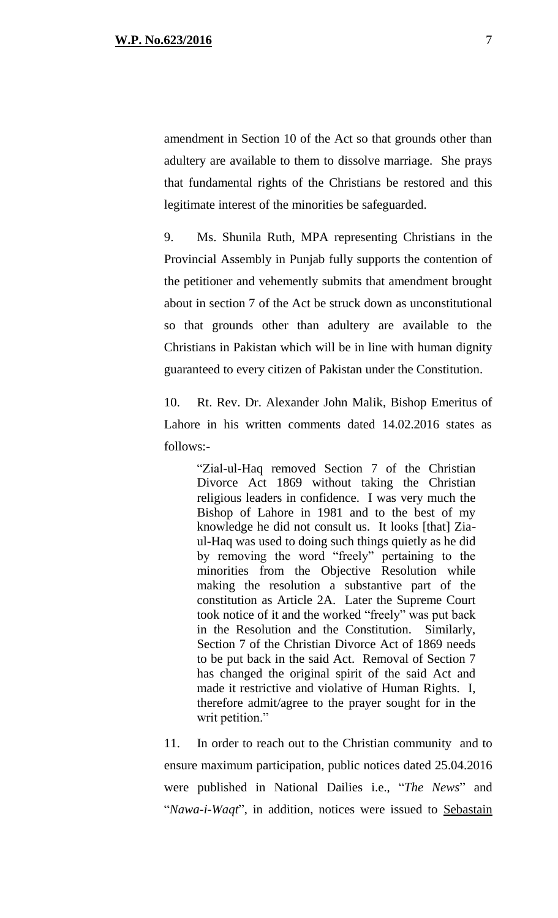amendment in Section 10 of the Act so that grounds other than adultery are available to them to dissolve marriage. She prays that fundamental rights of the Christians be restored and this legitimate interest of the minorities be safeguarded.

9. Ms. Shunila Ruth, MPA representing Christians in the Provincial Assembly in Punjab fully supports the contention of the petitioner and vehemently submits that amendment brought about in section 7 of the Act be struck down as unconstitutional so that grounds other than adultery are available to the Christians in Pakistan which will be in line with human dignity guaranteed to every citizen of Pakistan under the Constitution.

10. Rt. Rev. Dr. Alexander John Malik, Bishop Emeritus of Lahore in his written comments dated 14.02.2016 states as follows:-

> "Zial-ul-Haq removed Section 7 of the Christian Divorce Act 1869 without taking the Christian religious leaders in confidence. I was very much the Bishop of Lahore in 1981 and to the best of my knowledge he did not consult us. It looks [that] Ziaul-Haq was used to doing such things quietly as he did by removing the word "freely" pertaining to the minorities from the Objective Resolution while making the resolution a substantive part of the constitution as Article 2A. Later the Supreme Court took notice of it and the worked "freely" was put back in the Resolution and the Constitution. Similarly, Section 7 of the Christian Divorce Act of 1869 needs to be put back in the said Act. Removal of Section 7 has changed the original spirit of the said Act and made it restrictive and violative of Human Rights. I, therefore admit/agree to the prayer sought for in the writ petition."

11. In order to reach out to the Christian community and to ensure maximum participation, public notices dated 25.04.2016 were published in National Dailies i.e., "*The News*" and "*Nawa-i-Waqt*", in addition, notices were issued to Sebastain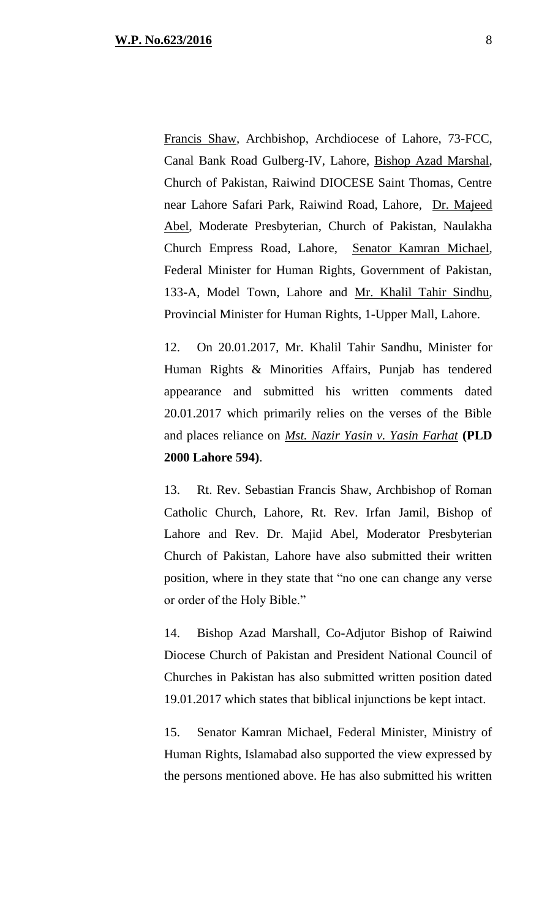Francis Shaw, Archbishop, Archdiocese of Lahore, 73-FCC, Canal Bank Road Gulberg-IV, Lahore, Bishop Azad Marshal, Church of Pakistan, Raiwind DIOCESE Saint Thomas, Centre near Lahore Safari Park, Raiwind Road, Lahore, Dr. Majeed Abel, Moderate Presbyterian, Church of Pakistan, Naulakha Church Empress Road, Lahore, Senator Kamran Michael, Federal Minister for Human Rights, Government of Pakistan, 133-A, Model Town, Lahore and Mr. Khalil Tahir Sindhu, Provincial Minister for Human Rights, 1-Upper Mall, Lahore.

12. On 20.01.2017, Mr. Khalil Tahir Sandhu, Minister for Human Rights & Minorities Affairs, Punjab has tendered appearance and submitted his written comments dated 20.01.2017 which primarily relies on the verses of the Bible and places reliance on *Mst. Nazir Yasin v. Yasin Farhat* **(PLD 2000 Lahore 594)**.

13. Rt. Rev. Sebastian Francis Shaw, Archbishop of Roman Catholic Church, Lahore, Rt. Rev. Irfan Jamil, Bishop of Lahore and Rev. Dr. Majid Abel, Moderator Presbyterian Church of Pakistan, Lahore have also submitted their written position, where in they state that "no one can change any verse or order of the Holy Bible."

14. Bishop Azad Marshall, Co-Adjutor Bishop of Raiwind Diocese Church of Pakistan and President National Council of Churches in Pakistan has also submitted written position dated 19.01.2017 which states that biblical injunctions be kept intact.

15. Senator Kamran Michael, Federal Minister, Ministry of Human Rights, Islamabad also supported the view expressed by the persons mentioned above. He has also submitted his written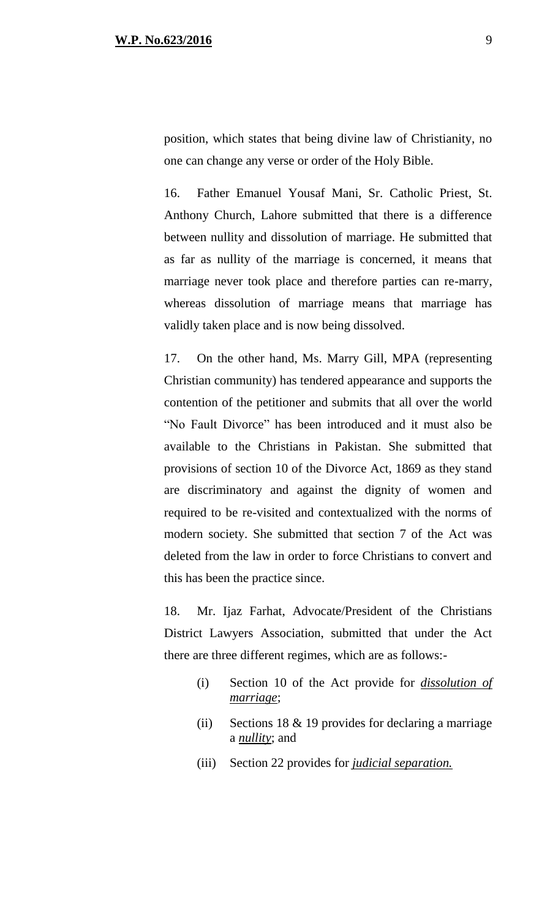position, which states that being divine law of Christianity, no one can change any verse or order of the Holy Bible.

16. Father Emanuel Yousaf Mani, Sr. Catholic Priest, St. Anthony Church, Lahore submitted that there is a difference between nullity and dissolution of marriage. He submitted that as far as nullity of the marriage is concerned, it means that marriage never took place and therefore parties can re-marry, whereas dissolution of marriage means that marriage has validly taken place and is now being dissolved.

17. On the other hand, Ms. Marry Gill, MPA (representing Christian community) has tendered appearance and supports the contention of the petitioner and submits that all over the world "No Fault Divorce" has been introduced and it must also be available to the Christians in Pakistan. She submitted that provisions of section 10 of the Divorce Act, 1869 as they stand are discriminatory and against the dignity of women and required to be re-visited and contextualized with the norms of modern society. She submitted that section 7 of the Act was deleted from the law in order to force Christians to convert and this has been the practice since.

18. Mr. Ijaz Farhat, Advocate/President of the Christians District Lawyers Association, submitted that under the Act there are three different regimes, which are as follows:-

- (i) Section 10 of the Act provide for *dissolution of marriage*;
- (ii) Sections 18  $&$  19 provides for declaring a marriage a *nullity*; and
- (iii) Section 22 provides for *judicial separation.*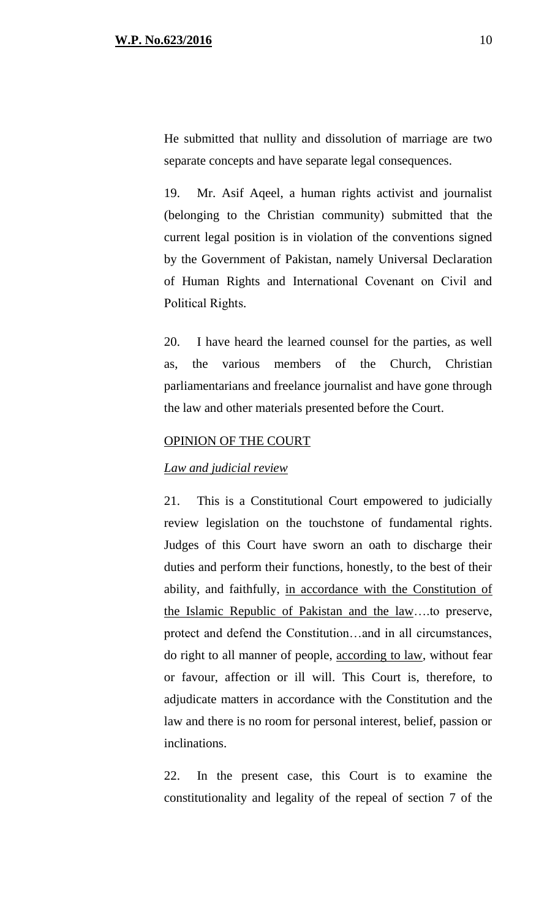He submitted that nullity and dissolution of marriage are two separate concepts and have separate legal consequences.

19. Mr. Asif Aqeel, a human rights activist and journalist (belonging to the Christian community) submitted that the current legal position is in violation of the conventions signed by the Government of Pakistan, namely Universal Declaration of Human Rights and International Covenant on Civil and Political Rights.

20. I have heard the learned counsel for the parties, as well as, the various members of the Church, Christian parliamentarians and freelance journalist and have gone through the law and other materials presented before the Court.

#### OPINION OF THE COURT

#### *Law and judicial review*

21. This is a Constitutional Court empowered to judicially review legislation on the touchstone of fundamental rights. Judges of this Court have sworn an oath to discharge their duties and perform their functions, honestly, to the best of their ability, and faithfully, in accordance with the Constitution of the Islamic Republic of Pakistan and the law….to preserve, protect and defend the Constitution…and in all circumstances, do right to all manner of people, according to law, without fear or favour, affection or ill will. This Court is, therefore, to adjudicate matters in accordance with the Constitution and the law and there is no room for personal interest, belief, passion or inclinations.

22. In the present case, this Court is to examine the constitutionality and legality of the repeal of section 7 of the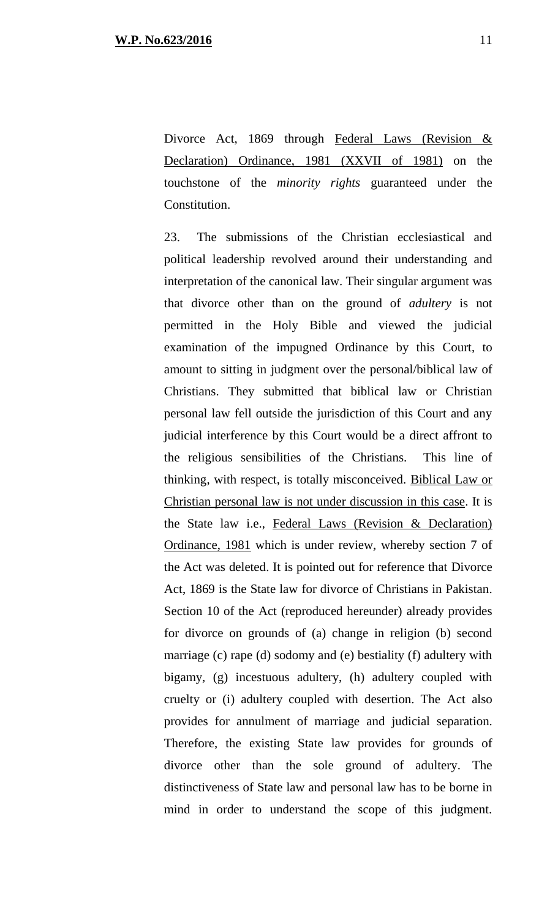Divorce Act, 1869 through Federal Laws (Revision & Declaration) Ordinance, 1981 (XXVII of 1981) on the touchstone of the *minority rights* guaranteed under the Constitution.

23. The submissions of the Christian ecclesiastical and political leadership revolved around their understanding and interpretation of the canonical law. Their singular argument was that divorce other than on the ground of *adultery* is not permitted in the Holy Bible and viewed the judicial examination of the impugned Ordinance by this Court, to amount to sitting in judgment over the personal/biblical law of Christians. They submitted that biblical law or Christian personal law fell outside the jurisdiction of this Court and any judicial interference by this Court would be a direct affront to the religious sensibilities of the Christians. This line of thinking, with respect, is totally misconceived. Biblical Law or Christian personal law is not under discussion in this case. It is the State law i.e., Federal Laws (Revision & Declaration) Ordinance, 1981 which is under review, whereby section 7 of the Act was deleted. It is pointed out for reference that Divorce Act, 1869 is the State law for divorce of Christians in Pakistan. Section 10 of the Act (reproduced hereunder) already provides for divorce on grounds of (a) change in religion (b) second marriage (c) rape (d) sodomy and (e) bestiality (f) adultery with bigamy, (g) incestuous adultery, (h) adultery coupled with cruelty or (i) adultery coupled with desertion. The Act also provides for annulment of marriage and judicial separation. Therefore, the existing State law provides for grounds of divorce other than the sole ground of adultery. The distinctiveness of State law and personal law has to be borne in mind in order to understand the scope of this judgment.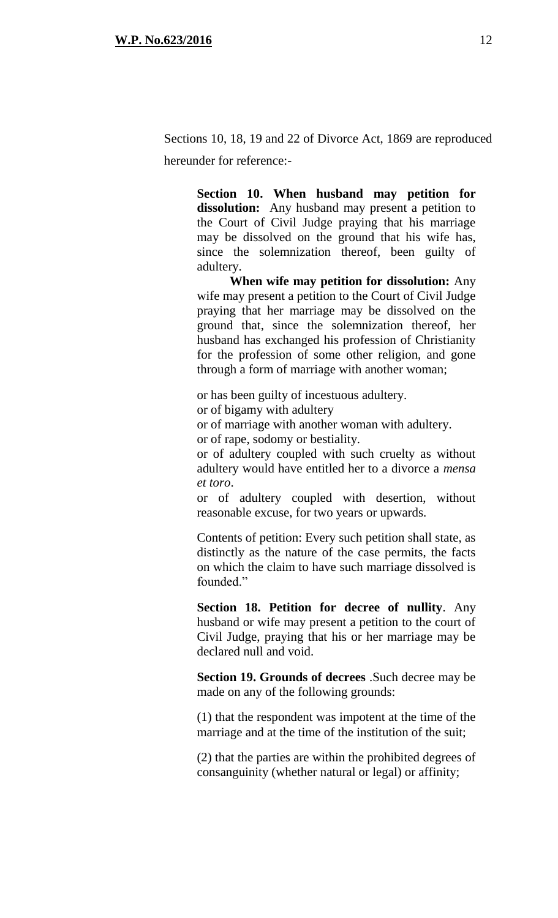Sections 10, 18, 19 and 22 of Divorce Act, 1869 are reproduced hereunder for reference:-

> **Section 10. When husband may petition for**  dissolution: Any husband may present a petition to the Court of Civil Judge praying that his marriage may be dissolved on the ground that his wife has, since the solemnization thereof, been guilty of adultery.

> **When wife may petition for dissolution:** Any wife may present a petition to the Court of Civil Judge praying that her marriage may be dissolved on the ground that, since the solemnization thereof, her husband has exchanged his profession of Christianity for the profession of some other religion, and gone through a form of marriage with another woman;

or has been guilty of incestuous adultery. or of bigamy with adultery or of marriage with another woman with adultery. or of rape, sodomy or bestiality.

or of adultery coupled with such cruelty as without adultery would have entitled her to a divorce a *mensa et toro*.

or of adultery coupled with desertion, without reasonable excuse, for two years or upwards.

Contents of petition: Every such petition shall state, as distinctly as the nature of the case permits, the facts on which the claim to have such marriage dissolved is founded."

**Section 18. Petition for decree of nullity**. Any husband or wife may present a petition to the court of Civil Judge, praying that his or her marriage may be declared null and void.

**Section 19. Grounds of decrees** .Such decree may be made on any of the following grounds:

(1) that the respondent was impotent at the time of the marriage and at the time of the institution of the suit;

(2) that the parties are within the prohibited degrees of consanguinity (whether natural or legal) or affinity;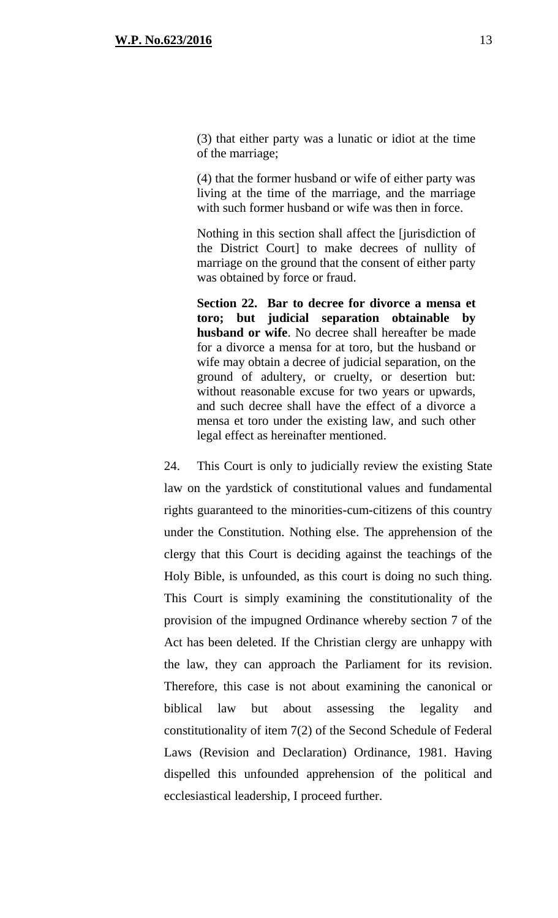(3) that either party was a lunatic or idiot at the time of the marriage;

(4) that the former husband or wife of either party was living at the time of the marriage, and the marriage with such former husband or wife was then in force.

Nothing in this section shall affect the [jurisdiction of the District Court] to make decrees of nullity of marriage on the ground that the consent of either party was obtained by force or fraud.

**Section 22. Bar to decree for divorce a mensa et toro; but judicial separation obtainable by husband or wife**. No decree shall hereafter be made for a divorce a mensa for at toro, but the husband or wife may obtain a decree of judicial separation, on the ground of adultery, or cruelty, or desertion but: without reasonable excuse for two years or upwards, and such decree shall have the effect of a divorce a mensa et toro under the existing law, and such other legal effect as hereinafter mentioned.

24. This Court is only to judicially review the existing State law on the yardstick of constitutional values and fundamental rights guaranteed to the minorities-cum-citizens of this country under the Constitution. Nothing else. The apprehension of the clergy that this Court is deciding against the teachings of the Holy Bible, is unfounded, as this court is doing no such thing. This Court is simply examining the constitutionality of the provision of the impugned Ordinance whereby section 7 of the Act has been deleted. If the Christian clergy are unhappy with the law, they can approach the Parliament for its revision. Therefore, this case is not about examining the canonical or biblical law but about assessing the legality and constitutionality of item 7(2) of the Second Schedule of Federal Laws (Revision and Declaration) Ordinance, 1981. Having dispelled this unfounded apprehension of the political and ecclesiastical leadership, I proceed further.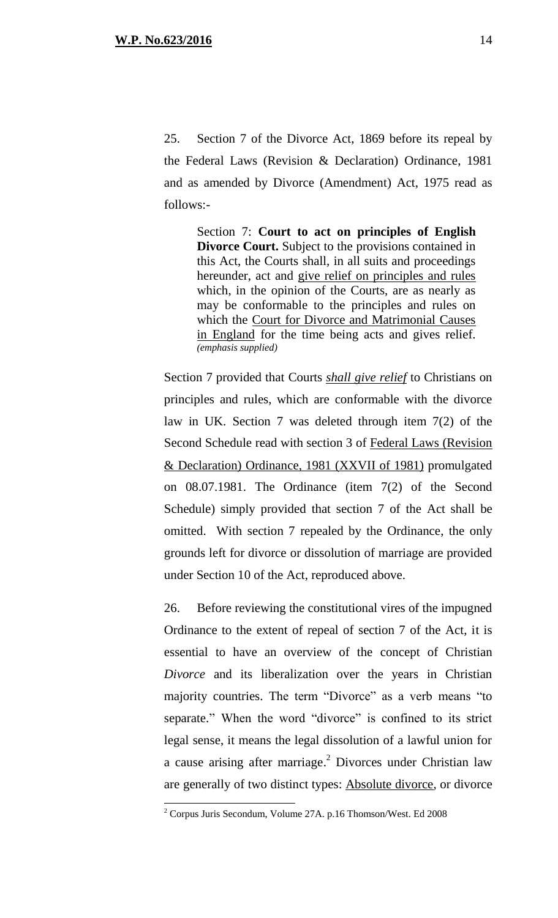25. Section 7 of the Divorce Act, 1869 before its repeal by the Federal Laws (Revision & Declaration) Ordinance, 1981 and as amended by Divorce (Amendment) Act, 1975 read as follows:-

Section 7: **Court to act on principles of English Divorce Court.** Subject to the provisions contained in this Act, the Courts shall, in all suits and proceedings hereunder, act and give relief on principles and rules which, in the opinion of the Courts, are as nearly as may be conformable to the principles and rules on which the Court for Divorce and Matrimonial Causes in England for the time being acts and gives relief. *(emphasis supplied)* 

Section 7 provided that Courts *shall give relief* to Christians on principles and rules, which are conformable with the divorce law in UK. Section 7 was deleted through item 7(2) of the Second Schedule read with section 3 of Federal Laws (Revision & Declaration) Ordinance, 1981 (XXVII of 1981) promulgated on 08.07.1981. The Ordinance (item 7(2) of the Second Schedule) simply provided that section 7 of the Act shall be omitted. With section 7 repealed by the Ordinance, the only grounds left for divorce or dissolution of marriage are provided under Section 10 of the Act, reproduced above.

26. Before reviewing the constitutional vires of the impugned Ordinance to the extent of repeal of section 7 of the Act, it is essential to have an overview of the concept of Christian *Divorce* and its liberalization over the years in Christian majority countries. The term "Divorce" as a verb means "to separate." When the word "divorce" is confined to its strict legal sense, it means the legal dissolution of a lawful union for a cause arising after marriage.<sup>2</sup> Divorces under Christian law are generally of two distinct types: Absolute divorce, or divorce

 $2^2$  Corpus Juris Secondum, Volume 27A. p.16 Thomson/West. Ed 2008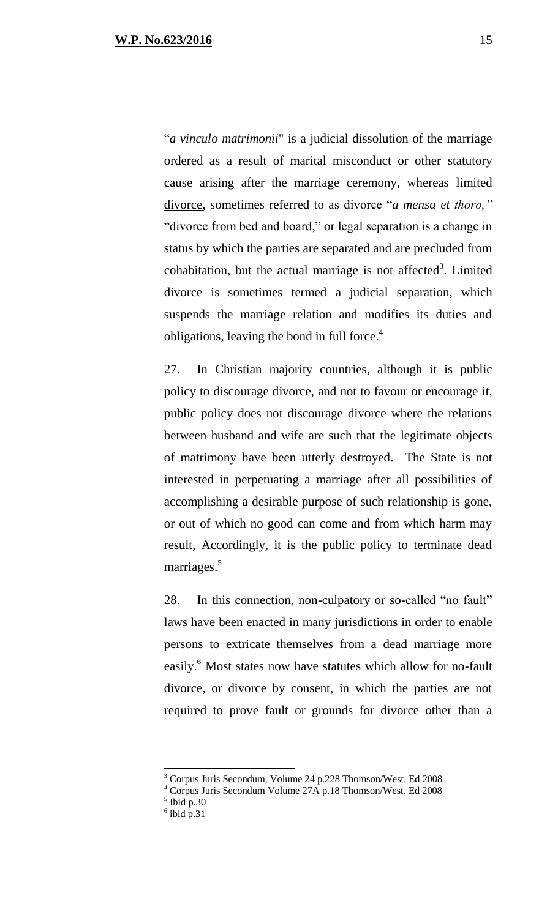"*a vinculo matrimonii*" is a judicial dissolution of the marriage ordered as a result of marital misconduct or other statutory cause arising after the marriage ceremony, whereas limited divorce, sometimes referred to as divorce "*a mensa et thoro,"* "divorce from bed and board," or legal separation is a change in status by which the parties are separated and are precluded from cohabitation, but the actual marriage is not affected<sup>3</sup>. Limited divorce is sometimes termed a judicial separation, which suspends the marriage relation and modifies its duties and obligations, leaving the bond in full force.<sup>4</sup>

27. In Christian majority countries, although it is public policy to discourage divorce, and not to favour or encourage it, public policy does not discourage divorce where the relations between husband and wife are such that the legitimate objects of matrimony have been utterly destroyed. The State is not interested in perpetuating a marriage after all possibilities of accomplishing a desirable purpose of such relationship is gone, or out of which no good can come and from which harm may result, Accordingly, it is the public policy to terminate dead marriages.<sup>5</sup>

28. In this connection, non-culpatory or so-called "no fault" laws have been enacted in many jurisdictions in order to enable persons to extricate themselves from a dead marriage more easily.<sup>6</sup> Most states now have statutes which allow for no-fault divorce, or divorce by consent, in which the parties are not required to prove fault or grounds for divorce other than a

<sup>3</sup> Corpus Juris Secondum, Volume 24 p.228 Thomson/West. Ed 2008

<sup>4</sup> Corpus Juris Secondum Volume 27A p.18 Thomson/West. Ed 2008

 $<sup>5</sup>$  Ibid p.30</sup>

 $6$  ibid p.31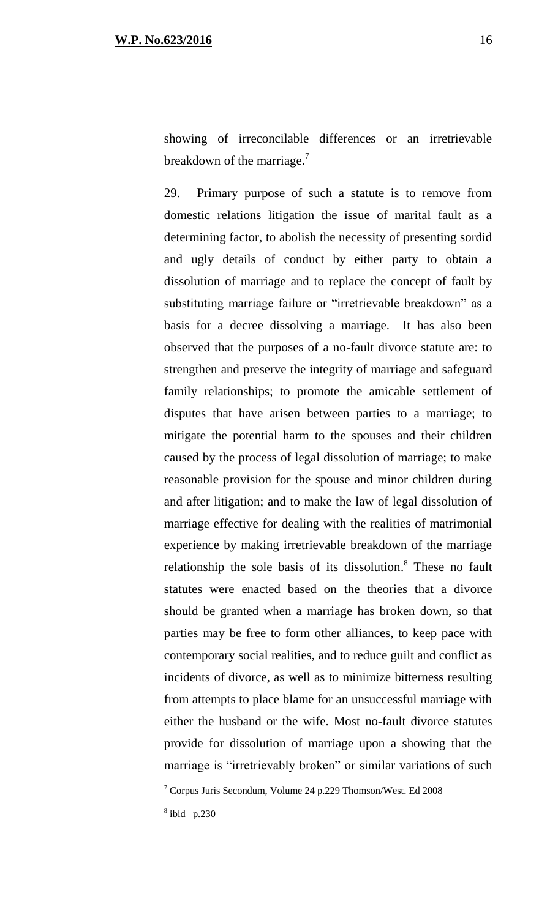showing of irreconcilable differences or an irretrievable breakdown of the marriage.<sup>7</sup>

29. Primary purpose of such a statute is to remove from domestic relations litigation the issue of marital fault as a determining factor, to abolish the necessity of presenting sordid and ugly details of conduct by either party to obtain a dissolution of marriage and to replace the concept of fault by substituting marriage failure or "irretrievable breakdown" as a basis for a decree dissolving a marriage. It has also been observed that the purposes of a no-fault divorce statute are: to strengthen and preserve the integrity of marriage and safeguard family relationships; to promote the amicable settlement of disputes that have arisen between parties to a marriage; to mitigate the potential harm to the spouses and their children caused by the process of legal dissolution of marriage; to make reasonable provision for the spouse and minor children during and after litigation; and to make the law of legal dissolution of marriage effective for dealing with the realities of matrimonial experience by making irretrievable breakdown of the marriage relationship the sole basis of its dissolution.<sup>8</sup> These no fault statutes were enacted based on the theories that a divorce should be granted when a marriage has broken down, so that parties may be free to form other alliances, to keep pace with contemporary social realities, and to reduce guilt and conflict as incidents of divorce, as well as to minimize bitterness resulting from attempts to place blame for an unsuccessful marriage with either the husband or the wife. Most no-fault divorce statutes provide for dissolution of marriage upon a showing that the marriage is "irretrievably broken" or similar variations of such  $\overline{a}$ 

<sup>7</sup> Corpus Juris Secondum, Volume 24 p.229 Thomson/West. Ed 2008

<sup>8</sup> ibid p.230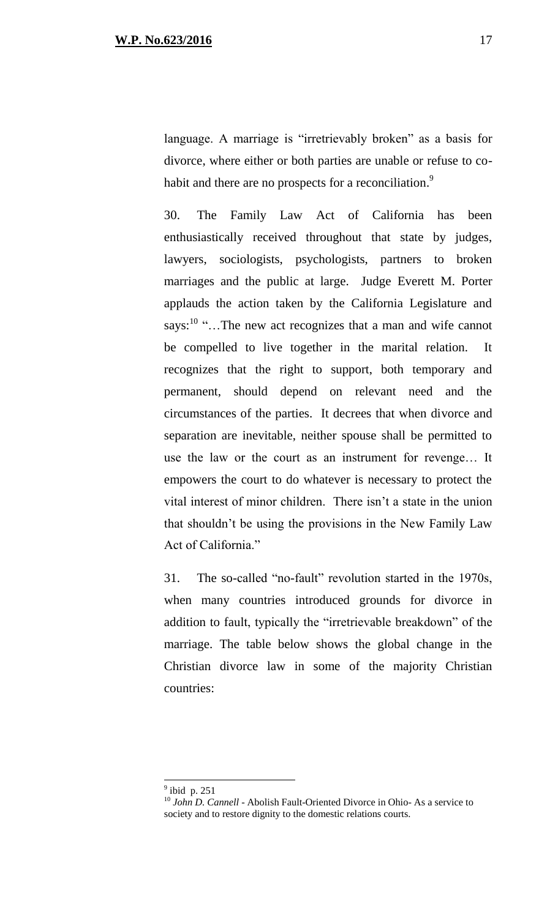language. A marriage is "irretrievably broken" as a basis for divorce, where either or both parties are unable or refuse to cohabit and there are no prospects for a reconciliation.<sup>9</sup>

30. The Family Law Act of California has been enthusiastically received throughout that state by judges, lawyers, sociologists, psychologists, partners to broken marriages and the public at large. Judge Everett M. Porter applauds the action taken by the California Legislature and says: $10$  "...The new act recognizes that a man and wife cannot be compelled to live together in the marital relation. It recognizes that the right to support, both temporary and permanent, should depend on relevant need and the circumstances of the parties. It decrees that when divorce and separation are inevitable, neither spouse shall be permitted to use the law or the court as an instrument for revenge… It empowers the court to do whatever is necessary to protect the vital interest of minor children. There isn't a state in the union that shouldn't be using the provisions in the New Family Law Act of California."

31. The so-called "no-fault" revolution started in the 1970s, when many countries introduced grounds for divorce in addition to fault, typically the "irretrievable breakdown" of the marriage. The table below shows the global change in the Christian divorce law in some of the majority Christian countries:

 $9$  ibid p. 251

<sup>10</sup> *John D. Cannell* - Abolish Fault-Oriented Divorce in Ohio- As a service to society and to restore dignity to the domestic relations courts.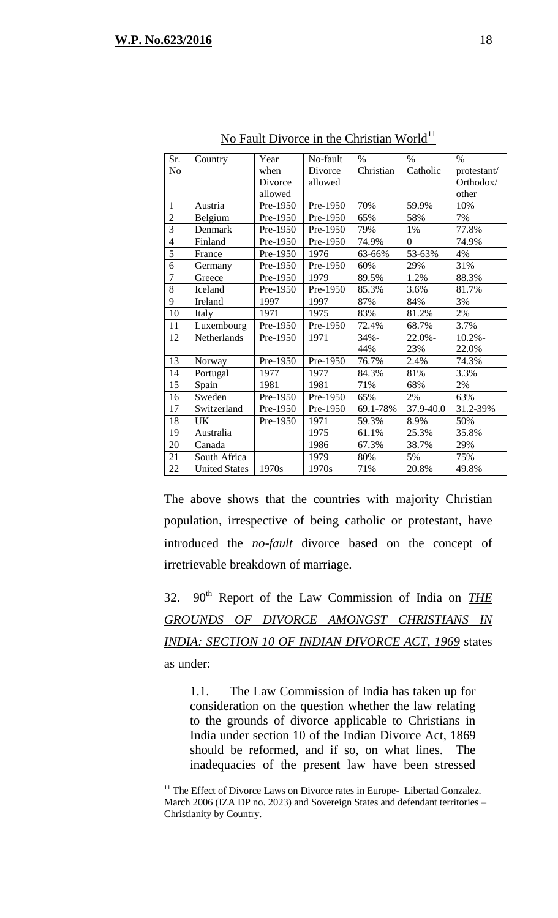$\overline{a}$ 

| Sr.            | Country              | Year     | No-fault | $\%$      | $\%$           | $\%$        |
|----------------|----------------------|----------|----------|-----------|----------------|-------------|
| N <sub>o</sub> |                      | when     | Divorce  | Christian | Catholic       | protestant/ |
|                |                      | Divorce  | allowed  |           |                | Orthodox/   |
|                |                      | allowed  |          |           |                | other       |
| $\mathbf{1}$   | Austria              | Pre-1950 | Pre-1950 | 70%       | 59.9%          | 10%         |
| $\overline{2}$ | Belgium              | Pre-1950 | Pre-1950 | 65%       | 58%            | 7%          |
| $\overline{3}$ | Denmark              | Pre-1950 | Pre-1950 | 79%       | 1%             | 77.8%       |
| $\overline{4}$ | Finland              | Pre-1950 | Pre-1950 | 74.9%     | $\overline{0}$ | 74.9%       |
| $\overline{5}$ | France               | Pre-1950 | 1976     | 63-66%    | 53-63%         | 4%          |
| 6              | Germany              | Pre-1950 | Pre-1950 | 60%       | 29%            | 31%         |
| $\overline{7}$ | Greece               | Pre-1950 | 1979     | 89.5%     | 1.2%           | 88.3%       |
| 8              | Iceland              | Pre-1950 | Pre-1950 | 85.3%     | 3.6%           | 81.7%       |
| 9              | Ireland              | 1997     | 1997     | 87%       | 84%            | 3%          |
| 10             | Italy                | 1971     | 1975     | 83%       | 81.2%          | 2%          |
| 11             | Luxembourg           | Pre-1950 | Pre-1950 | 72.4%     | 68.7%          | 3.7%        |
| 12             | Netherlands          | Pre-1950 | 1971     | $34% -$   | $22.0\%$ -     | $10.2% -$   |
|                |                      |          |          | 44%       | 23%            | 22.0%       |
| 13             | Norway               | Pre-1950 | Pre-1950 | 76.7%     | 2.4%           | 74.3%       |
| 14             | Portugal             | 1977     | 1977     | 84.3%     | 81%            | 3.3%        |
| 15             | Spain                | 1981     | 1981     | 71%       | 68%            | 2%          |
| 16             | Sweden               | Pre-1950 | Pre-1950 | 65%       | 2%             | 63%         |
| 17             | Switzerland          | Pre-1950 | Pre-1950 | 69.1-78%  | 37.9-40.0      | 31.2-39%    |
| 18             | <b>UK</b>            | Pre-1950 | 1971     | 59.3%     | 8.9%           | 50%         |
| 19             | Australia            |          | 1975     | 61.1%     | 25.3%          | 35.8%       |
| 20             | Canada               |          | 1986     | 67.3%     | 38.7%          | 29%         |
| 21             | South Africa         |          | 1979     | 80%       | 5%             | 75%         |
| 22             | <b>United States</b> | 1970s    | 1970s    | 71%       | 20.8%          | 49.8%       |

No Fault Divorce in the Christian World<sup>11</sup>

The above shows that the countries with majority Christian population, irrespective of being catholic or protestant, have introduced the *no-fault* divorce based on the concept of irretrievable breakdown of marriage.

32. 90th Report of the Law Commission of India on *THE GROUNDS OF DIVORCE AMONGST CHRISTIANS IN INDIA: SECTION 10 OF INDIAN DIVORCE ACT, 1969* states as under:

1.1. The Law Commission of India has taken up for consideration on the question whether the law relating to the grounds of divorce applicable to Christians in India under section 10 of the Indian Divorce Act, 1869 should be reformed, and if so, on what lines. The inadequacies of the present law have been stressed

 $11$ <sup>11</sup> The Effect of Divorce Laws on Divorce rates in Europe- Libertad Gonzalez. March 2006 (IZA DP no. 2023) and Sovereign States and defendant territories – Christianity by Country.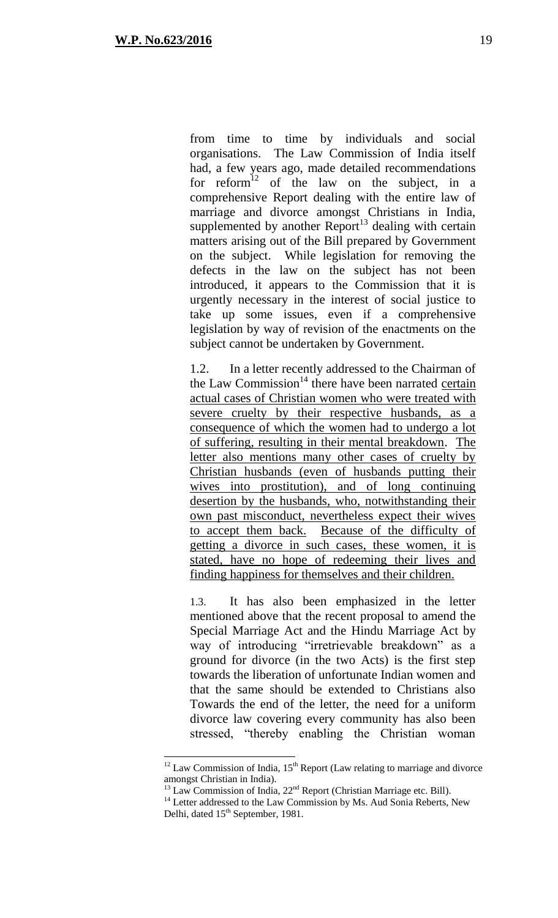$\overline{a}$ 

from time to time by individuals and social organisations. The Law Commission of India itself had, a few years ago, made detailed recommendations for  $reform<sup>12</sup>$  of the law on the subject, in a comprehensive Report dealing with the entire law of marriage and divorce amongst Christians in India, supplemented by another  $Report<sup>13</sup>$  dealing with certain matters arising out of the Bill prepared by Government on the subject. While legislation for removing the defects in the law on the subject has not been introduced, it appears to the Commission that it is urgently necessary in the interest of social justice to take up some issues, even if a comprehensive legislation by way of revision of the enactments on the subject cannot be undertaken by Government.

1.2. In a letter recently addressed to the Chairman of the Law Commission<sup>14</sup> there have been narrated certain actual cases of Christian women who were treated with severe cruelty by their respective husbands, as a consequence of which the women had to undergo a lot of suffering, resulting in their mental breakdown. The letter also mentions many other cases of cruelty by Christian husbands (even of husbands putting their wives into prostitution), and of long continuing desertion by the husbands, who, notwithstanding their own past misconduct, nevertheless expect their wives to accept them back. Because of the difficulty of getting a divorce in such cases, these women, it is stated, have no hope of redeeming their lives and finding happiness for themselves and their children.

1.3. It has also been emphasized in the letter mentioned above that the recent proposal to amend the Special Marriage Act and the Hindu Marriage Act by way of introducing "irretrievable breakdown" as a ground for divorce (in the two Acts) is the first step towards the liberation of unfortunate Indian women and that the same should be extended to Christians also Towards the end of the letter, the need for a uniform divorce law covering every community has also been stressed, "thereby enabling the Christian woman

 $12$  Law Commission of India,  $15<sup>th</sup>$  Report (Law relating to marriage and divorce amongst Christian in India).

 $^{13}$  Law Commission of India,  $22<sup>nd</sup>$  Report (Christian Marriage etc. Bill).

<sup>&</sup>lt;sup>14</sup> Letter addressed to the Law Commission by Ms. Aud Sonia Reberts, New Delhi, dated 15<sup>th</sup> September, 1981.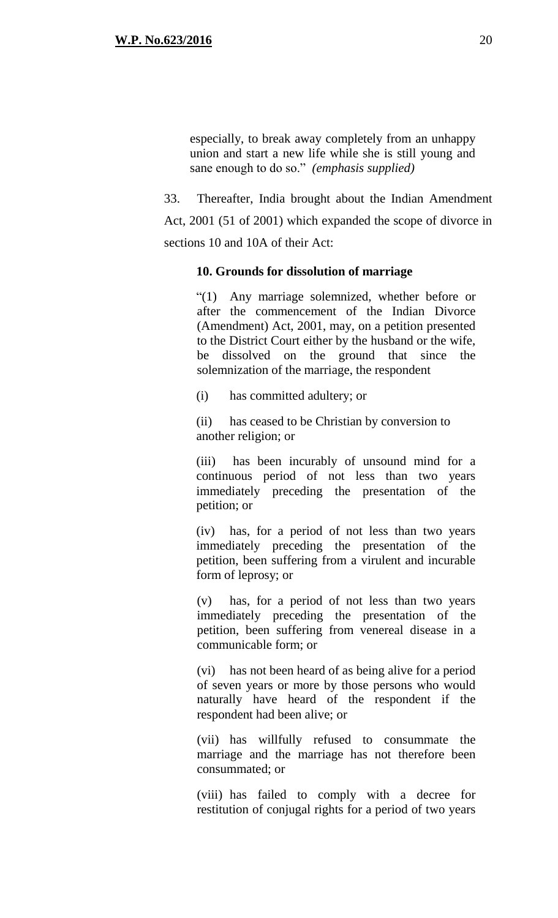especially, to break away completely from an unhappy union and start a new life while she is still young and sane enough to do so." *(emphasis supplied)*

33. Thereafter, India brought about the Indian Amendment Act, 2001 (51 of 2001) which expanded the scope of divorce in sections 10 and 10A of their Act:

#### **10. Grounds for dissolution of marriage**

"(1) Any marriage solemnized, whether before or after the commencement of the Indian Divorce (Amendment) Act, 2001, may, on a petition presented to the District Court either by the husband or the wife, be dissolved on the ground that since solemnization of the marriage, the respondent

(i) has committed adultery; or

(ii) has ceased to be Christian by conversion to another religion; or

(iii) has been incurably of unsound mind for a continuous period of not less than two years immediately preceding the presentation of the petition; or

(iv) has, for a period of not less than two years immediately preceding the presentation of the petition, been suffering from a virulent and incurable form of leprosy; or

(v) has, for a period of not less than two years immediately preceding the presentation of the petition, been suffering from venereal disease in a communicable form; or

(vi) has not been heard of as being alive for a period of seven years or more by those persons who would naturally have heard of the respondent if the respondent had been alive; or

(vii) has willfully refused to consummate the marriage and the marriage has not therefore been consummated; or

(viii) has failed to comply with a decree for restitution of conjugal rights for a period of two years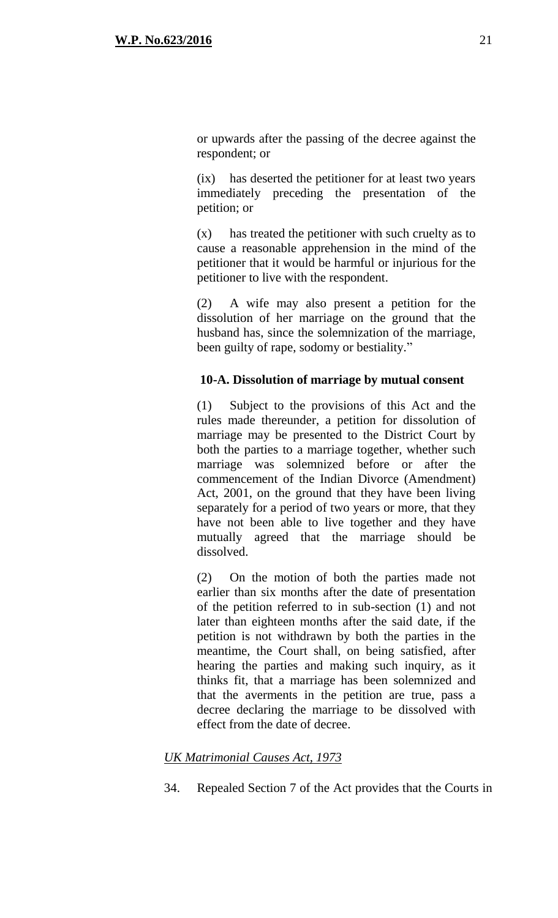or upwards after the passing of the decree against the respondent; or

(ix) has deserted the petitioner for at least two years immediately preceding the presentation of the petition; or

(x) has treated the petitioner with such cruelty as to cause a reasonable apprehension in the mind of the petitioner that it would be harmful or injurious for the petitioner to live with the respondent.

(2) A wife may also present a petition for the dissolution of her marriage on the ground that the husband has, since the solemnization of the marriage, been guilty of rape, sodomy or bestiality."

## **10-A. Dissolution of marriage by mutual consent**

(1) Subject to the provisions of this Act and the rules made thereunder, a petition for dissolution of marriage may be presented to the District Court by both the parties to a marriage together, whether such marriage was solemnized before or after the commencement of the Indian Divorce (Amendment) Act, 2001, on the ground that they have been living separately for a period of two years or more, that they have not been able to live together and they have mutually agreed that the marriage should be dissolved.

(2) On the motion of both the parties made not earlier than six months after the date of presentation of the petition referred to in sub-section (1) and not later than eighteen months after the said date, if the petition is not withdrawn by both the parties in the meantime, the Court shall, on being satisfied, after hearing the parties and making such inquiry, as it thinks fit, that a marriage has been solemnized and that the averments in the petition are true, pass a decree declaring the marriage to be dissolved with effect from the date of decree.

## *UK Matrimonial Causes Act, 1973*

34. Repealed Section 7 of the Act provides that the Courts in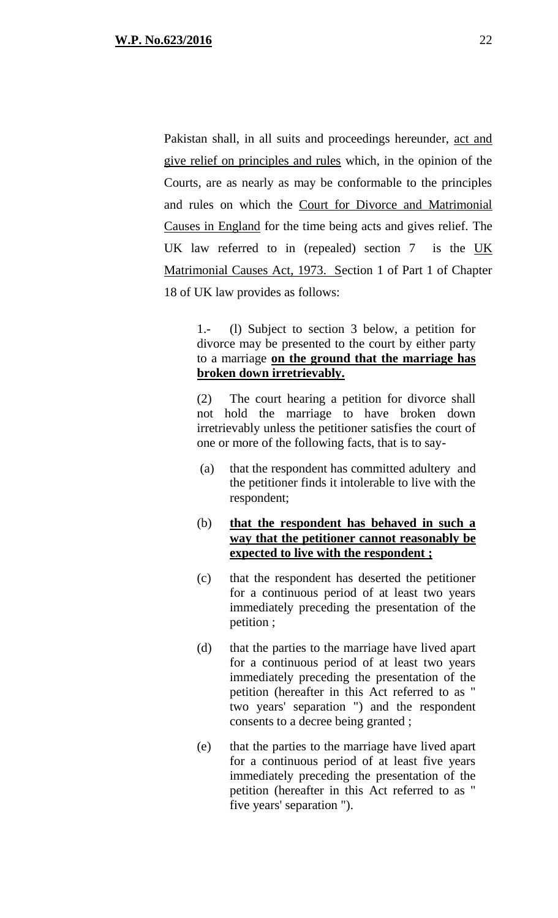Pakistan shall, in all suits and proceedings hereunder, act and give relief on principles and rules which, in the opinion of the Courts, are as nearly as may be conformable to the principles and rules on which the Court for Divorce and Matrimonial Causes in England for the time being acts and gives relief. The UK law referred to in (repealed) section 7 is the UK Matrimonial Causes Act, 1973. Section 1 of Part 1 of Chapter 18 of UK law provides as follows:

1.- (l) Subject to section 3 below, a petition for divorce may be presented to the court by either party to a marriage **on the ground that the marriage has broken down irretrievably.**

(2) The court hearing a petition for divorce shall not hold the marriage to have broken down irretrievably unless the petitioner satisfies the court of one or more of the following facts, that is to say-

(a) that the respondent has committed adultery and the petitioner finds it intolerable to live with the respondent;

## (b) **that the respondent has behaved in such a way that the petitioner cannot reasonably be expected to live with the respondent ;**

- (c) that the respondent has deserted the petitioner for a continuous period of at least two years immediately preceding the presentation of the petition ;
- (d) that the parties to the marriage have lived apart for a continuous period of at least two years immediately preceding the presentation of the petition (hereafter in this Act referred to as " two years' separation ") and the respondent consents to a decree being granted ;
- (e) that the parties to the marriage have lived apart for a continuous period of at least five years immediately preceding the presentation of the petition (hereafter in this Act referred to as " five years' separation ").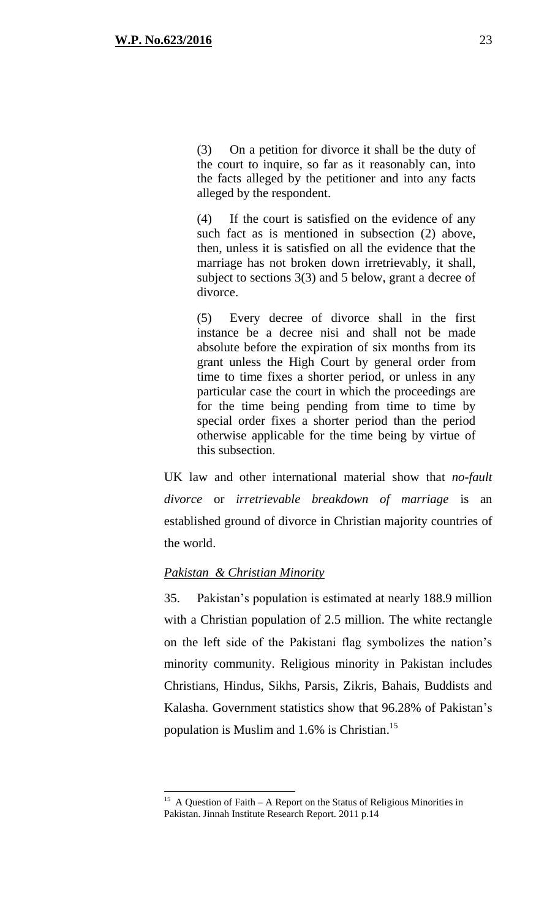(3) On a petition for divorce it shall be the duty of the court to inquire, so far as it reasonably can, into the facts alleged by the petitioner and into any facts alleged by the respondent.

(4) If the court is satisfied on the evidence of any such fact as is mentioned in subsection (2) above, then, unless it is satisfied on all the evidence that the marriage has not broken down irretrievably, it shall, subject to sections 3(3) and 5 below, grant a decree of divorce.

(5) Every decree of divorce shall in the first instance be a decree nisi and shall not be made absolute before the expiration of six months from its grant unless the High Court by general order from time to time fixes a shorter period, or unless in any particular case the court in which the proceedings are for the time being pending from time to time by special order fixes a shorter period than the period otherwise applicable for the time being by virtue of this subsection.

UK law and other international material show that *no-fault divorce* or *irretrievable breakdown of marriage* is an established ground of divorce in Christian majority countries of the world.

#### *Pakistan & Christian Minority*

 $\overline{a}$ 

35. Pakistan's population is estimated at nearly 188.9 million with a Christian population of 2.5 million. The white rectangle on the left side of the Pakistani flag symbolizes the nation's minority community. Religious minority in Pakistan includes Christians, Hindus, Sikhs, Parsis, Zikris, Bahais, Buddists and Kalasha. Government statistics show that 96.28% of Pakistan's population is Muslim and 1.6% is Christian. 15

<sup>&</sup>lt;sup>15</sup> A Question of Faith – A Report on the Status of Religious Minorities in Pakistan. Jinnah Institute Research Report. 2011 p.14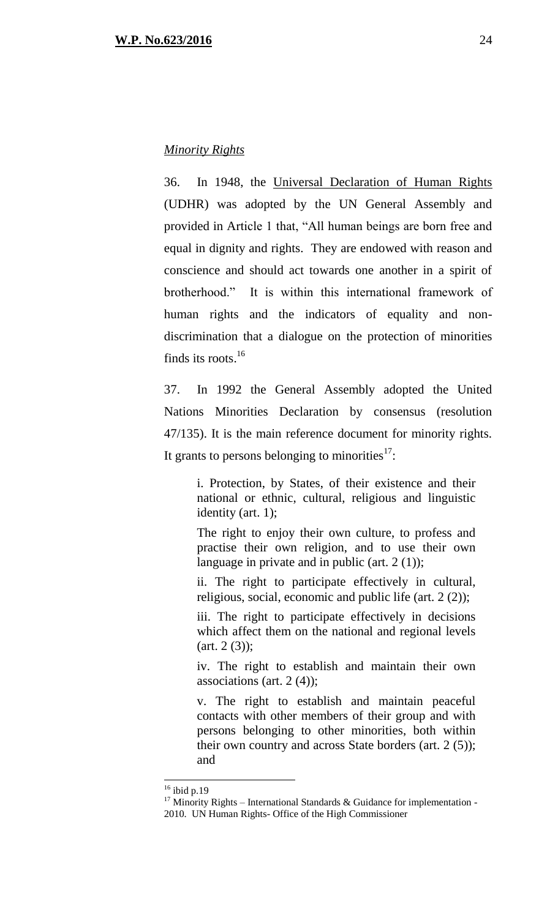### *Minority Rights*

36. In 1948, the Universal Declaration of Human Rights (UDHR) was adopted by the UN General Assembly and provided in Article 1 that, "All human beings are born free and equal in dignity and rights. They are endowed with reason and conscience and should act towards one another in a spirit of brotherhood." It is within this international framework of human rights and the indicators of equality and nondiscrimination that a dialogue on the protection of minorities finds its roots.<sup>16</sup>

37. In 1992 the General Assembly adopted the United Nations Minorities Declaration by consensus (resolution 47/135). It is the main reference document for minority rights. It grants to persons belonging to minorities $17$ :

> i. Protection, by States, of their existence and their national or ethnic, cultural, religious and linguistic identity (art. 1);

> The right to enjoy their own culture, to profess and practise their own religion, and to use their own language in private and in public (art. 2 (1));

> ii. The right to participate effectively in cultural, religious, social, economic and public life (art. 2 (2));

> iii. The right to participate effectively in decisions which affect them on the national and regional levels  $(art. 2 (3));$

> iv. The right to establish and maintain their own associations (art.  $2(4)$ );

> v. The right to establish and maintain peaceful contacts with other members of their group and with persons belonging to other minorities, both within their own country and across State borders (art. 2 (5)); and

 $16$  ibid p.19

 $17$  Minority Rights – International Standards & Guidance for implementation -2010. UN Human Rights- Office of the High Commissioner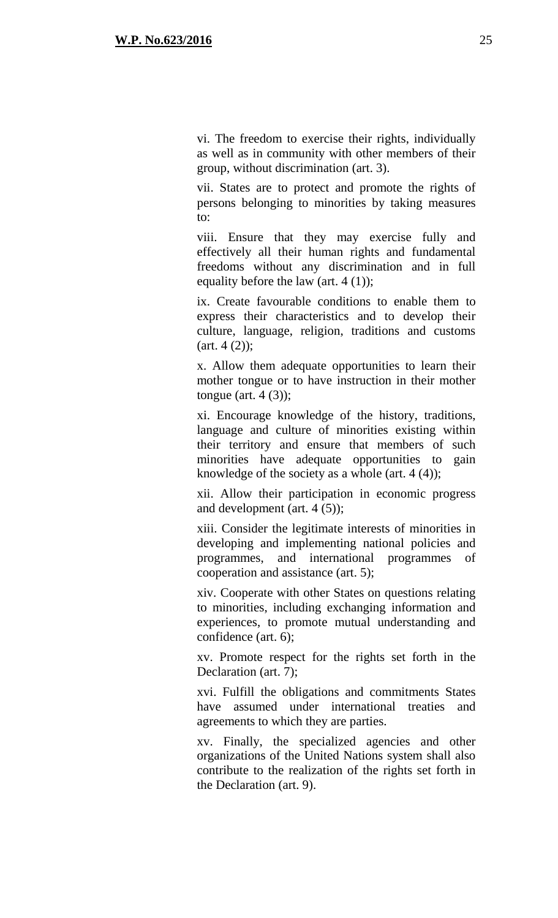vi. The freedom to exercise their rights, individually as well as in community with other members of their group, without discrimination (art. 3).

vii. States are to protect and promote the rights of persons belonging to minorities by taking measures to:

viii. Ensure that they may exercise fully and effectively all their human rights and fundamental freedoms without any discrimination and in full equality before the law (art. 4 (1));

ix. Create favourable conditions to enable them to express their characteristics and to develop their culture, language, religion, traditions and customs  $(art. 4 (2));$ 

x. Allow them adequate opportunities to learn their mother tongue or to have instruction in their mother tongue (art.  $4(3)$ );

xi. Encourage knowledge of the history, traditions, language and culture of minorities existing within their territory and ensure that members of such minorities have adequate opportunities to gain knowledge of the society as a whole (art.  $4(4)$ );

xii. Allow their participation in economic progress and development (art. 4 (5));

xiii. Consider the legitimate interests of minorities in developing and implementing national policies and programmes, and international programmes of cooperation and assistance (art. 5);

xiv. Cooperate with other States on questions relating to minorities, including exchanging information and experiences, to promote mutual understanding and confidence (art. 6);

xv. Promote respect for the rights set forth in the Declaration (art. 7);

xvi. Fulfill the obligations and commitments States have assumed under international treaties and agreements to which they are parties.

xv. Finally, the specialized agencies and other organizations of the United Nations system shall also contribute to the realization of the rights set forth in the Declaration (art. 9).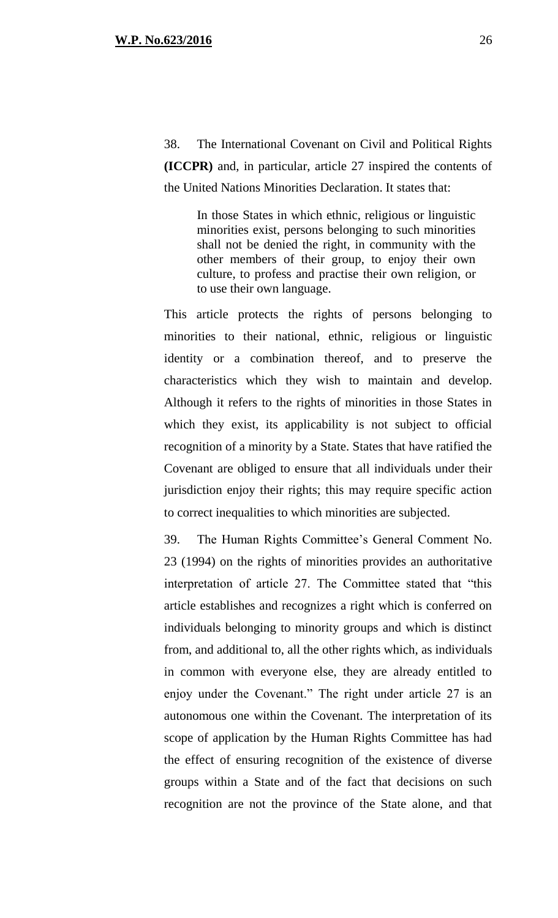38. The International Covenant on Civil and Political Rights **(ICCPR)** and, in particular, article 27 inspired the contents of the United Nations Minorities Declaration. It states that:

> In those States in which ethnic, religious or linguistic minorities exist, persons belonging to such minorities shall not be denied the right, in community with the other members of their group, to enjoy their own culture, to profess and practise their own religion, or to use their own language.

This article protects the rights of persons belonging to minorities to their national, ethnic, religious or linguistic identity or a combination thereof, and to preserve the characteristics which they wish to maintain and develop. Although it refers to the rights of minorities in those States in which they exist, its applicability is not subject to official recognition of a minority by a State. States that have ratified the Covenant are obliged to ensure that all individuals under their jurisdiction enjoy their rights; this may require specific action to correct inequalities to which minorities are subjected.

39. The Human Rights Committee's General Comment No. 23 (1994) on the rights of minorities provides an authoritative interpretation of article 27. The Committee stated that "this article establishes and recognizes a right which is conferred on individuals belonging to minority groups and which is distinct from, and additional to, all the other rights which, as individuals in common with everyone else, they are already entitled to enjoy under the Covenant." The right under article 27 is an autonomous one within the Covenant. The interpretation of its scope of application by the Human Rights Committee has had the effect of ensuring recognition of the existence of diverse groups within a State and of the fact that decisions on such recognition are not the province of the State alone, and that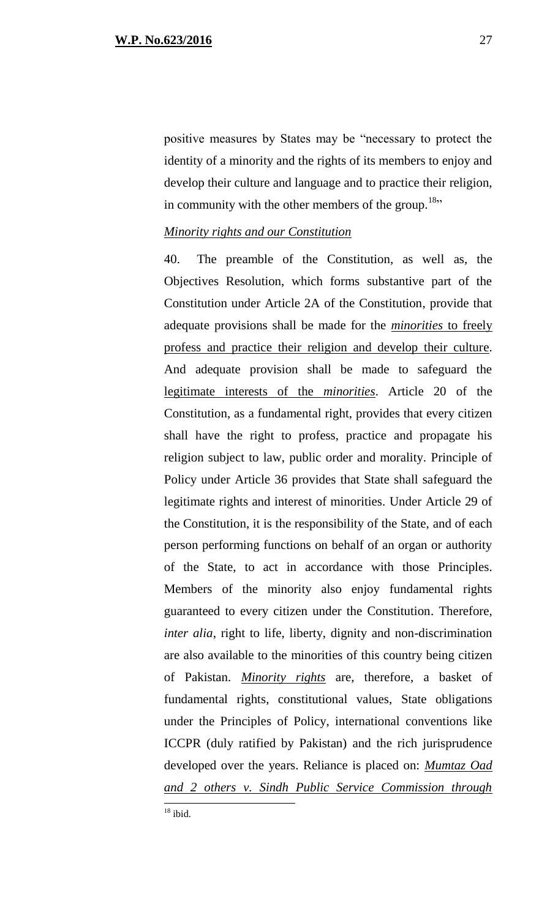positive measures by States may be "necessary to protect the identity of a minority and the rights of its members to enjoy and develop their culture and language and to practice their religion, in community with the other members of the group.<sup>18</sup>"

#### *Minority rights and our Constitution*

40. The preamble of the Constitution, as well as, the Objectives Resolution, which forms substantive part of the Constitution under Article 2A of the Constitution, provide that adequate provisions shall be made for the *minorities* to freely profess and practice their religion and develop their culture. And adequate provision shall be made to safeguard the legitimate interests of the *minorities*. Article 20 of the Constitution, as a fundamental right, provides that every citizen shall have the right to profess, practice and propagate his religion subject to law, public order and morality. Principle of Policy under Article 36 provides that State shall safeguard the legitimate rights and interest of minorities. Under Article 29 of the Constitution, it is the responsibility of the State, and of each person performing functions on behalf of an organ or authority of the State, to act in accordance with those Principles. Members of the minority also enjoy fundamental rights guaranteed to every citizen under the Constitution. Therefore, *inter alia*, right to life, liberty, dignity and non-discrimination are also available to the minorities of this country being citizen of Pakistan. *Minority rights* are, therefore, a basket of fundamental rights, constitutional values, State obligations under the Principles of Policy, international conventions like ICCPR (duly ratified by Pakistan) and the rich jurisprudence developed over the years. Reliance is placed on: *Mumtaz Oad and 2 others v. Sindh Public Service Commission through*   $\overline{a}$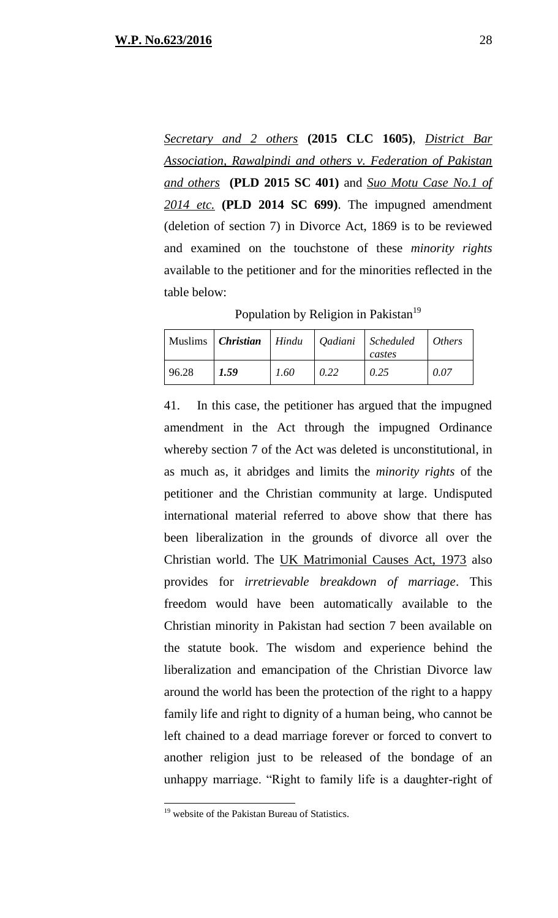*Secretary and 2 others* **(2015 CLC 1605)**, *District Bar Association, Rawalpindi and others v. Federation of Pakistan and others* **(PLD 2015 SC 401)** and *Suo Motu Case No.1 of 2014 etc.* **(PLD 2014 SC 699)**. The impugned amendment (deletion of section 7) in Divorce Act, 1869 is to be reviewed and examined on the touchstone of these *minority rights* available to the petitioner and for the minorities reflected in the table below:

Population by Religion in Pakistan<sup>19</sup>

|       |      |      |      | Muslims   Christian   Hindu   Qadiani   Scheduled   Others<br>castes |      |
|-------|------|------|------|----------------------------------------------------------------------|------|
| 96.28 | 1.59 | 1.60 | 0.22 | 0.25                                                                 | 0.07 |

41. In this case, the petitioner has argued that the impugned amendment in the Act through the impugned Ordinance whereby section 7 of the Act was deleted is unconstitutional, in as much as, it abridges and limits the *minority rights* of the petitioner and the Christian community at large. Undisputed international material referred to above show that there has been liberalization in the grounds of divorce all over the Christian world. The UK Matrimonial Causes Act, 1973 also provides for *irretrievable breakdown of marriage*. This freedom would have been automatically available to the Christian minority in Pakistan had section 7 been available on the statute book. The wisdom and experience behind the liberalization and emancipation of the Christian Divorce law around the world has been the protection of the right to a happy family life and right to dignity of a human being, who cannot be left chained to a dead marriage forever or forced to convert to another religion just to be released of the bondage of an unhappy marriage. "Right to family life is a daughter-right of

<sup>&</sup>lt;sup>19</sup> website of the Pakistan Bureau of Statistics.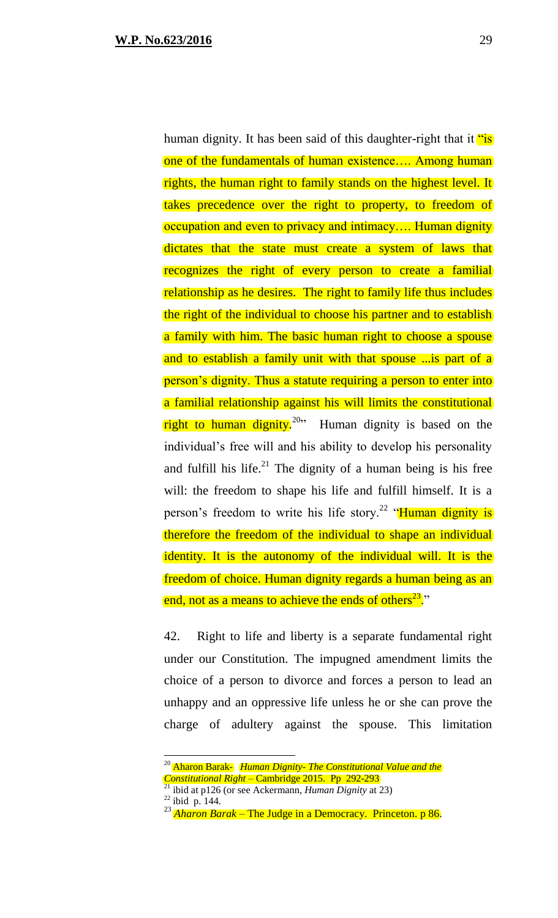human dignity. It has been said of this daughter-right that it "is" one of the fundamentals of human existence…. Among human rights, the human right to family stands on the highest level. It takes precedence over the right to property, to freedom of occupation and even to privacy and intimacy…. Human dignity dictates that the state must create a system of laws that recognizes the right of every person to create a familial relationship as he desires. The right to family life thus includes the right of the individual to choose his partner and to establish a family with him. The basic human right to choose a spouse and to establish a family unit with that spouse ...is part of a person's dignity. Thus a statute requiring a person to enter into a familial relationship against his will limits the constitutional right to human dignity.<sup>20</sup><sup>20</sup> Human dignity is based on the individual's free will and his ability to develop his personality and fulfill his life.<sup>21</sup> The dignity of a human being is his free will: the freedom to shape his life and fulfill himself. It is a person's freedom to write his life story.<sup>22</sup> "Human dignity is therefore the freedom of the individual to shape an individual identity. It is the autonomy of the individual will. It is the freedom of choice. Human dignity regards a human being as an end, not as a means to achieve the ends of others<sup>23</sup>."

42. Right to life and liberty is a separate fundamental right under our Constitution. The impugned amendment limits the choice of a person to divorce and forces a person to lead an unhappy and an oppressive life unless he or she can prove the charge of adultery against the spouse. This limitation

<sup>20</sup> Aharon Barak- *Human Dignity- The Constitutional Value and the* 

*Constitutional Right* – Cambridge 2015. Pp 292-293

<sup>21</sup> ibid at p126 (or see Ackermann, *Human Dignity* at 23)  $^{22}$  ibid p. 144.

<sup>23</sup> *Aharon Barak* – The Judge in a Democracy. Princeton. p 86.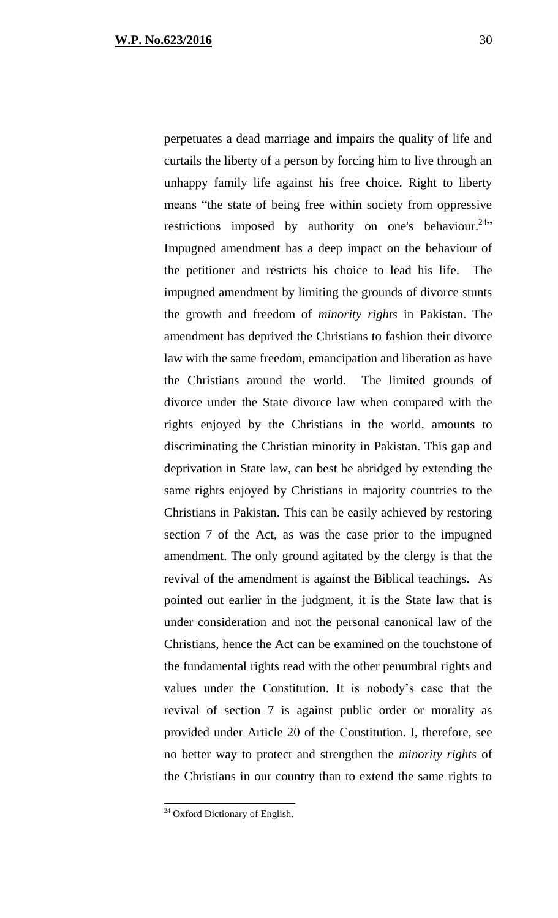perpetuates a dead marriage and impairs the quality of life and curtails the liberty of a person by forcing him to live through an unhappy family life against his free choice. Right to liberty means "the state of being free within society from oppressive restrictions imposed by authority on one's behaviour.<sup>24</sup> Impugned amendment has a deep impact on the behaviour of the petitioner and restricts his choice to lead his life. The impugned amendment by limiting the grounds of divorce stunts the growth and freedom of *minority rights* in Pakistan. The amendment has deprived the Christians to fashion their divorce law with the same freedom, emancipation and liberation as have the Christians around the world. The limited grounds of divorce under the State divorce law when compared with the rights enjoyed by the Christians in the world, amounts to discriminating the Christian minority in Pakistan. This gap and deprivation in State law, can best be abridged by extending the same rights enjoyed by Christians in majority countries to the Christians in Pakistan. This can be easily achieved by restoring section 7 of the Act, as was the case prior to the impugned amendment. The only ground agitated by the clergy is that the revival of the amendment is against the Biblical teachings. As pointed out earlier in the judgment, it is the State law that is under consideration and not the personal canonical law of the Christians, hence the Act can be examined on the touchstone of the fundamental rights read with the other penumbral rights and values under the Constitution. It is nobody's case that the revival of section 7 is against public order or morality as provided under Article 20 of the Constitution. I, therefore, see no better way to protect and strengthen the *minority rights* of the Christians in our country than to extend the same rights to

<sup>&</sup>lt;sup>24</sup> Oxford Dictionary of English.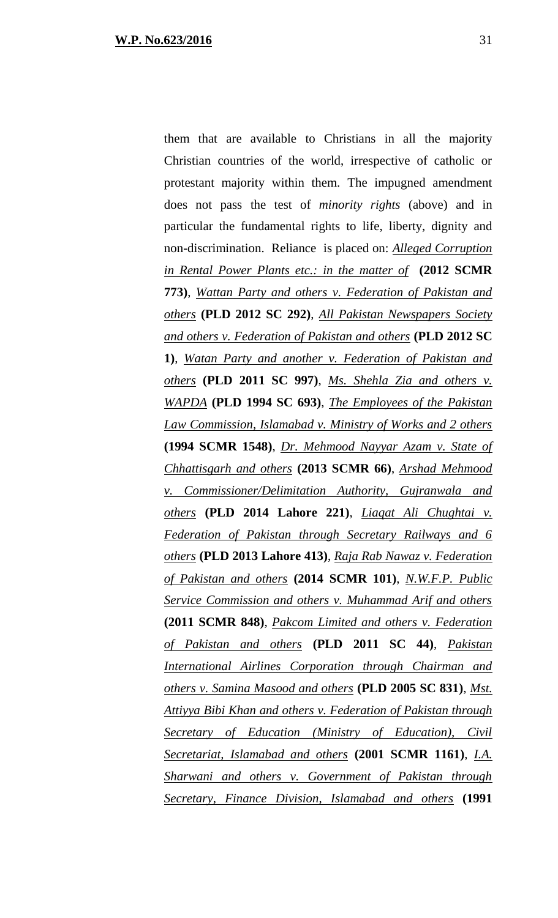them that are available to Christians in all the majority Christian countries of the world, irrespective of catholic or protestant majority within them. The impugned amendment does not pass the test of *minority rights* (above) and in particular the fundamental rights to life, liberty, dignity and non-discrimination. Reliance is placed on: *Alleged Corruption in Rental Power Plants etc.: in the matter of* **(2012 SCMR 773)**, *Wattan Party and others v. Federation of Pakistan and others* **(PLD 2012 SC 292)**, *All Pakistan Newspapers Society and others v. Federation of Pakistan and others* **(PLD 2012 SC 1)**, *Watan Party and another v. Federation of Pakistan and others* **(PLD 2011 SC 997)**, *Ms. Shehla Zia and others v. WAPDA* **(PLD 1994 SC 693)**, *The Employees of the Pakistan Law Commission, Islamabad v. Ministry of Works and 2 others* **(1994 SCMR 1548)**, *Dr. Mehmood Nayyar Azam v. State of Chhattisgarh and others* **(2013 SCMR 66)**, *Arshad Mehmood v. Commissioner/Delimitation Authority, Gujranwala and others* **(PLD 2014 Lahore 221)**, *Liaqat Ali Chughtai v. Federation of Pakistan through Secretary Railways and 6 others* **(PLD 2013 Lahore 413)**, *Raja Rab Nawaz v. Federation of Pakistan and others* **(2014 SCMR 101)**, *N.W.F.P. Public Service Commission and others v. Muhammad Arif and others* **(2011 SCMR 848)**, *Pakcom Limited and others v. Federation of Pakistan and others* **(PLD 2011 SC 44)**, *Pakistan International Airlines Corporation through Chairman and others v. Samina Masood and others* **(PLD 2005 SC 831)**, *Mst. Attiyya Bibi Khan and others v. Federation of Pakistan through Secretary of Education (Ministry of Education), Civil Secretariat, Islamabad and others* **(2001 SCMR 1161)**, *I.A. Sharwani and others v. Government of Pakistan through Secretary, Finance Division, Islamabad and others* **(1991**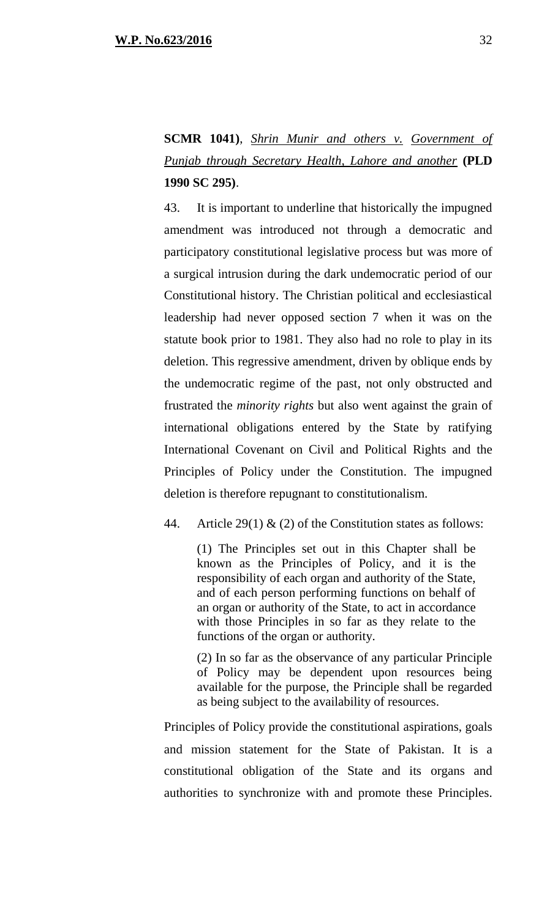**SCMR 1041)**, *Shrin Munir and others v. Government of Punjab through Secretary Health, Lahore and another* **(PLD 1990 SC 295)**.

43. It is important to underline that historically the impugned amendment was introduced not through a democratic and participatory constitutional legislative process but was more of a surgical intrusion during the dark undemocratic period of our Constitutional history. The Christian political and ecclesiastical leadership had never opposed section 7 when it was on the statute book prior to 1981. They also had no role to play in its deletion. This regressive amendment, driven by oblique ends by the undemocratic regime of the past, not only obstructed and frustrated the *minority rights* but also went against the grain of international obligations entered by the State by ratifying International Covenant on Civil and Political Rights and the Principles of Policy under the Constitution. The impugned deletion is therefore repugnant to constitutionalism.

44. Article 29(1)  $\&$  (2) of the Constitution states as follows:

(1) The Principles set out in this Chapter shall be known as the Principles of Policy, and it is the responsibility of each organ and authority of the State, and of each person performing functions on behalf of an organ or authority of the State, to act in accordance with those Principles in so far as they relate to the functions of the organ or authority.

(2) In so far as the observance of any particular Principle of Policy may be dependent upon resources being available for the purpose, the Principle shall be regarded as being subject to the availability of resources.

Principles of Policy provide the constitutional aspirations, goals and mission statement for the State of Pakistan. It is a constitutional obligation of the State and its organs and authorities to synchronize with and promote these Principles.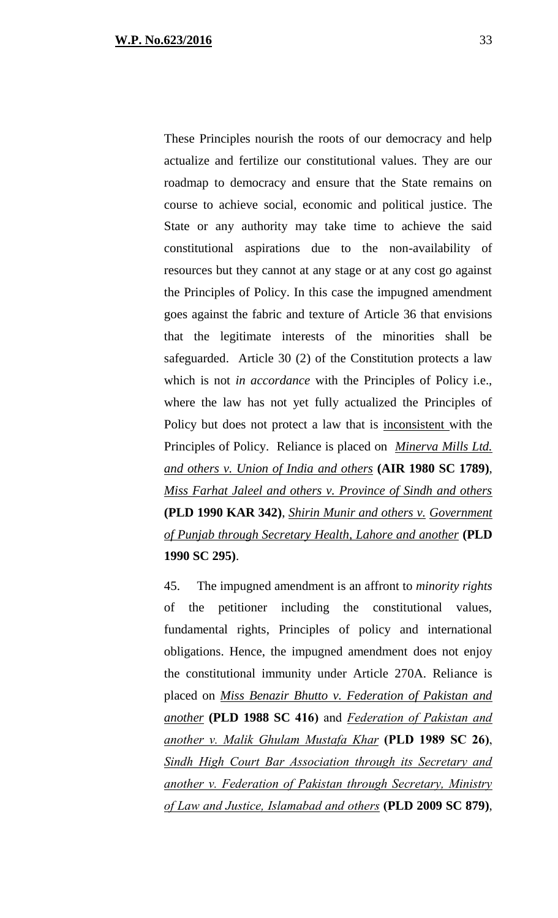These Principles nourish the roots of our democracy and help actualize and fertilize our constitutional values. They are our roadmap to democracy and ensure that the State remains on course to achieve social, economic and political justice. The State or any authority may take time to achieve the said constitutional aspirations due to the non-availability of resources but they cannot at any stage or at any cost go against the Principles of Policy. In this case the impugned amendment goes against the fabric and texture of Article 36 that envisions that the legitimate interests of the minorities shall be safeguarded. Article 30 (2) of the Constitution protects a law which is not *in accordance* with the Principles of Policy i.e., where the law has not yet fully actualized the Principles of Policy but does not protect a law that is inconsistent with the Principles of Policy. Reliance is placed on *Minerva Mills Ltd. and others v. Union of India and others* **(AIR 1980 SC 1789)**, *Miss Farhat Jaleel and others v. Province of Sindh and others* **(PLD 1990 KAR 342)**, *Shirin Munir and others v. Government of Punjab through Secretary Health, Lahore and another* **(PLD 1990 SC 295)**.

45. The impugned amendment is an affront to *minority rights* of the petitioner including the constitutional values, fundamental rights, Principles of policy and international obligations. Hence, the impugned amendment does not enjoy the constitutional immunity under Article 270A. Reliance is placed on *Miss Benazir Bhutto v. Federation of Pakistan and another* **(PLD 1988 SC 416)** and *Federation of Pakistan and another v. Malik Ghulam Mustafa Khar* **(PLD 1989 SC 26)**, *Sindh High Court Bar Association through its Secretary and another v. Federation of Pakistan through Secretary, Ministry of Law and Justice, Islamabad and others* **(PLD 2009 SC 879)**,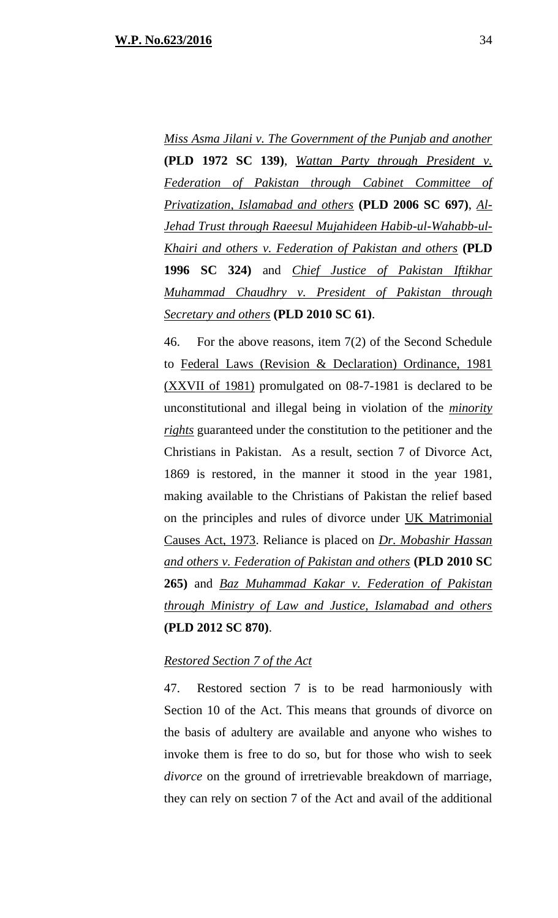*Miss Asma Jilani v. The Government of the Punjab and another* **(PLD 1972 SC 139)**, *Wattan Party through President v. Federation of Pakistan through Cabinet Committee of Privatization, Islamabad and others* **(PLD 2006 SC 697)**, *Al-Jehad Trust through Raeesul Mujahideen Habib-ul-Wahabb-ul-Khairi and others v. Federation of Pakistan and others* **(PLD 1996 SC 324)** and *Chief Justice of Pakistan Iftikhar Muhammad Chaudhry v. President of Pakistan through Secretary and others* **(PLD 2010 SC 61)**.

46. For the above reasons, item 7(2) of the Second Schedule to Federal Laws (Revision & Declaration) Ordinance, 1981 (XXVII of 1981) promulgated on 08-7-1981 is declared to be unconstitutional and illegal being in violation of the *minority rights* guaranteed under the constitution to the petitioner and the Christians in Pakistan. As a result, section 7 of Divorce Act, 1869 is restored, in the manner it stood in the year 1981, making available to the Christians of Pakistan the relief based on the principles and rules of divorce under UK Matrimonial Causes Act, 1973. Reliance is placed on *Dr. Mobashir Hassan and others v. Federation of Pakistan and others* **(PLD 2010 SC 265)** and *Baz Muhammad Kakar v. Federation of Pakistan through Ministry of Law and Justice, Islamabad and others* **(PLD 2012 SC 870)**.

## *Restored Section 7 of the Act*

47. Restored section 7 is to be read harmoniously with Section 10 of the Act. This means that grounds of divorce on the basis of adultery are available and anyone who wishes to invoke them is free to do so, but for those who wish to seek *divorce* on the ground of irretrievable breakdown of marriage, they can rely on section 7 of the Act and avail of the additional